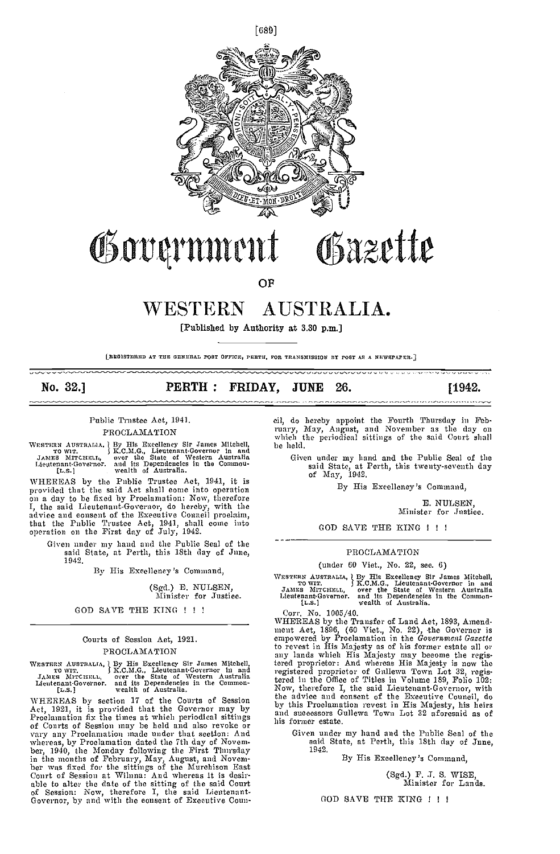

# Governmen Osazette

OP

# AUSTRALIA. WESTERN

[Published by Authority at 3.30 p.m.]

[REGISTERED AT THE GENERAL POST OFFICE, PERTH, FOR TRANSMISSION BY POST AS A NEWSPAPER.]

No. 32.1

#### $\bf PERTH$  : FRIDAY. **JUNE** 26.

# Public Trustee Act, 1941.

# PROCLAMATION

WHEREAS by the Public Trustee Act, 1941, it is WHEREAS by the Public Trustee Act, 1941, it is<br>provided that the said Act shall come into operation<br>on a day to be fixed by Proclamation: Now, therefore<br>I, the said Lieutenant-Governor, do hereby, with the<br>advice and conse

Given under my hand and the Publie Seal of the said State, at Perth, this 18th day of June, 1942.

By His Excellency's Command,

(Sgd.) E. NULSEN, Minister for Justice.

# GOD SAVE THE KING ! ! !

# Courts of Session Act, 1921. PROCLAMATION

WESTERN AUSTRALIA, J By His Excellency Sir James Mitchell, TO WIT. J K.C.M.G., Lieutenant-Governor in and JAMES MITCHELL, over the State of Western Australia Lieutenant-Governor. and its Dependencies in the Common-<br>[L.S.]

WHEREAS by section 17 of the Courts of Session<br>Act, 1921, it is provided that the Governor may by<br>Proelamation fix the times at which periodical sittings<br>of Courts of Session may be held and also revoke or of Conrts of Session may be held and also revoke or<br>vary any Proclamation made under that section: And<br>whereas, by Proclamation dated the 7th day of Novem-<br>ber, 1940, the Monday following the First Thursday<br>in the months o cil, do hereby appoint the Fourth Thursday in February, May, Angnst, and November as the day on which the periodical sittings of the said Court shall be held.

Given under my hand and the Public Seal of the said State, at Perth, this twenty-seventh day<br>of May, 1942.

By His Excellency's Command,

E. NULSEN, Minister for Justice.

**1942.** 

GOD SAVE THE KING ! ! !

# PROCLAMATION

(under 60 Viet., No. 22, see. 6)

WESTERN AUSTRALIA, J By His Excellency Sir James Mitchell, TO WIT. J K.C.M.G., Lieutenant-Governor in and JAMES MITCHELL, over the State of Western Australia Lieutenant-Governor. and its Dependencies in the Common-<br>[L.S.]

Corr. No. 1005/40.

WHEREAS by the Transfer of Land Act, 1893, Amendment Act, 1896, (60 Viet., No. 22), the Governor is empowered by Proclamation in the Government Gazette to revest in His Majesty as of his former estate all or to revest in His Majesty as of his former estate all or<br>any lands which His Majesty may become the regis-<br>tered proprietor: And whereas His Majesty is now the<br>registered proprietor of Gullewa Town Lot 32, regis-<br>tered in t his former estate.

Given under my hand and the Publie Seal of the said State, at Perth, this 18th day of Jnne, 1942.

By His Execllency's Command.

(Sgd.) F. J. S. WISE. Minister for Lands.

GOD SAVE THE KING ! ! !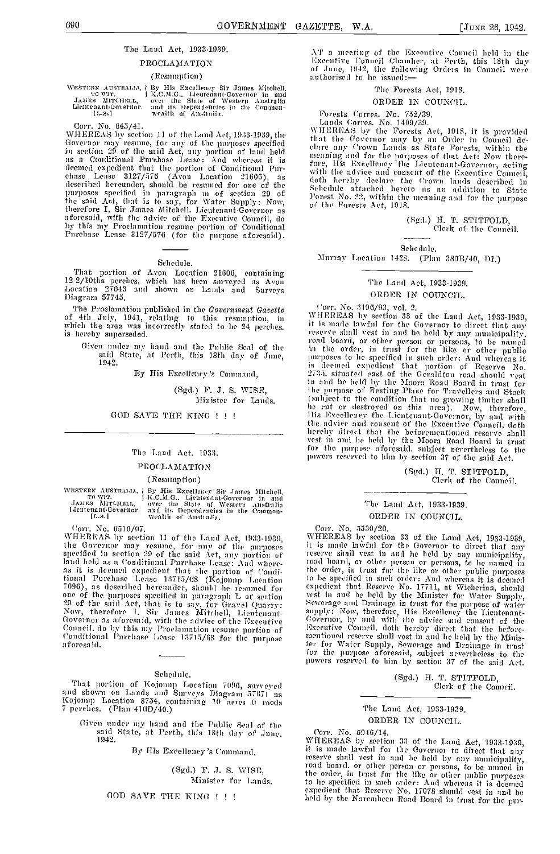# The Land Act. 1933-1939.

# PROCLAMATION

#### (Resumption)

Corr. No. 645/41.<br>WHEREAS by section 11 of the Land Act, 1933-1939, the WHEREAS by section 11 of the Land Act, 1933-1939, the<br>Governor may resume, for any of the purposes specified<br>in section 29 of the said Act, any portion of land held<br>as a Conditional Purchase Lease: And whereas it is<br>deemed

#### Schedule.

That portion of Avon Location 21606, containing<br>12-2/10ths perches, which has been surveyed as Avon<br>Location 277.33 and shown on Lands and Surveys Diagram 57745

The Proclamation published in the Government Gazette of 4th July, 1941, relating to this resumption, in<br>which the area was incorrectly stated to he 24 perches. is hereby superseded.

Given under my hand and the Public Scal of the said State, at Perth, this 18th day of June, 1942.

By His Excellency's Command.

(Sgd.) F. J. S. WISF, Minister for Lands.

# GOD SAVE THE KING !!!

#### The Land Act. 1933.

#### PROCLAMATION

# (Resumption)

WESTERN AUSTRALIA | By His Excellency Sir James Mitchell, TOWIT. [ J K.C.M.G., Lieutenant-Governor in and JAMES MITCHELL, over the State of Western Australia Lieutenant-Governor, and its Dependencies in the Common-<br>[I..s.]

Corr. No. 6510/07.<br>WHEREAS by section 11 of the Land Act, 1933-1939, the Governor may resume, for my of the purposes specified in section 29 of the said Act, my portion of land held as a Conditional Purchase Lease: And whereand neural as a volutional ruremase rease; And where-<br>as it is deemed expedient that the portion of Condi-<br>tional Purchase Lease 13715/68 (Kojomp Location<br>7096), as described hereunder, should be resumed for<br>one of the pur 29 of the said Act, that is to say, for Gravel Quarry:<br>Now, therefore 1. Sir James Mitchell, Lientenant-Governor as aforesaid, with the advice of the Executive Council, do by this my Proclamation resume portion of<br>Conditional Purchase Lease 13715/68 for the purpose aforesaid.

#### Schedule.

That portion of Kojomp Location 7096, surveyed<br>and shown on Lands and Surveys Diagram 57671 as<br>Kojomp Location 8754, containing 10 acres 0 roods<br>7 perches. (Plan 416D/40.)

Given under my hand and the Public Seal of the<br>said State, at Perth, this 18th day of June, 1942.

By His Excellency's Command.

(Sgd.) F. J. S. WISE, Minister for Lands.

GOD SAVE THE KING ! ! !

AT a meeting of the Executive Conneil held in the<br>Executive Council Chamber, at Perth, this 18th day<br>of June, 1942, the following Orders in Council were authorised to he issued:

# The Forests Act, 1918.

#### ORDER IN COUNCIL.

Forests Corres. No. 752/39,<br>Lands Corres. No. 1409/39.<br>WHEREAS by the Forests Act, 1918, it is provided<br>that the Governor may by an Order in Council declare any Crown Lands as State Forests, within the meaning and for the purposes of that Act: Now therefore, His Excellency the Lieutenant-Governor, acting<br>with the advice and consent of the Excentive Conneil, with the advice and consent of the rixemitive Connent,<br>doth hereby declare the Grown lands described in<br>Schednic attached hereto as an addition to State<br>Forest No. 22, within the meaning and for the purpose of the Furests Act, 1918.

> (Sgd.) H. T. STITFOLD. Clerk of the Conneil.

Schedule.

Murray Location 1428. (Plan 380B/40, D1.)

# The Land Act, 1933-1939. ORDER IN COUNCIL.

Corr. No. 3196/93, vol. 2.<br>WHEREAS by section 33 of the Land Act, 1933-1939, it is made lawful for the Governor to direct that any reserve shall vest in and be held by any municipality, reserve small vest in and be neat by any municipality,<br>react board, or other person or persons, to be named<br>in the order, in trust for the like or other public<br>purposes to be specified in such order: And whereas it<br>is deem in and he held by the Moora Road Board and in that for the purpose of Resting Place for Travellers and Stock (subject to the condition that no growing timber shall<br>he cut or destroyed on this area). Now, therefore,<br>lis Excellency the Lientenant-Governor, by and with<br>the advice

(Sgd.) H. T. STITFOLD, Clerk of the Council.

# The Land Act, 1933-1939. ORDFR IN COUNCIL.

# Corr. No. 5530/20.

WHEREAS by section 33 of the Land Act, 1933-1939, it is made lawful for the Governor to direct that any reserve shall vest in and he held by any municipality, reserve shall vest in and he held by any mumeripality,<br>road hoard, or other person or persons, to he named in<br>the order, in trust for the like or other public purpose<br>to be specified in such order: And whereas it is deemed Sewerage and Drainage in trust for the purpose of water supply: Now, therefore, His Excellency the Lientenant-Governor, hy and with the advice and consent of the Executive Council. doth hereby direct that the beforementioned reserve shall vest in and he held by the Minisher for Water Supply, Sewerage and Drainage in trust ter for Water Supply, Sewerage and Drainage in trust for the purpose aforesaid, subject nevertheless to the powers reserved to him by section 37 of the said Act.

> (Sgd.) H. T. STITFOLD, Clerk of the Council.

# The Land Act, 1933-1939.

# ORDER IN COUNCIL.

Corr. No. 5946/14.<br>WHEREAS by section 33 of the Land Act, 1933-1939, it is made lawful for the Governor to direct that any it is made lawful for the Governor to direct that any<br>reserve shall vest in and be held by any municipality,<br>read board, or other person or persons, to be named in<br>the order, in trust for the like or other public purposes<br>

WESTERN AUSTRALIA, *i* By His Excellency Sir James Mitchell, TO WIT. J K.C.M.G., Lieutenant-Governor in and JAMES MirCHELL, over the State of Western Anstralia Lientenant-Governor, and its Dependencies in the Common-<br>[L.S.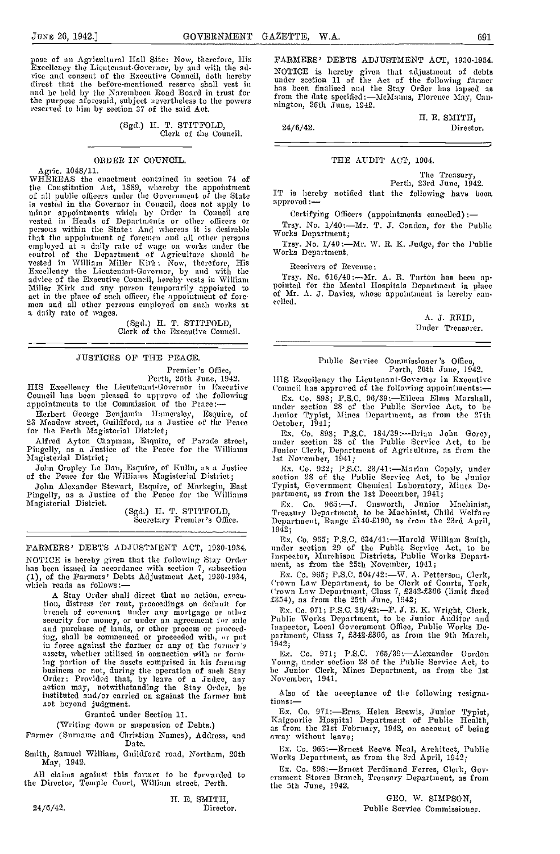pose of an Agricultural Hall Site: Now, therefore, His EARM<br>Excellency the Lientenant-Governor, by and with the ad-<br>vice and consent of the Executive Conneil, doth hereby under<br>direct that the before-mentioned reserve shal and be held by the Narembeen Road Board in trust for the purpose aforesaid, subject nevertheless to the powers reserved to him by section 37 of the said Act.

(Sgd.) H. T. STITFOLD, Clerk of the Council.

# ORDER IN COUNCIL.

Agrie. 1048/11. WHEREAS the enactment contained in section 74 of the Constitution Act, 1889, whereby the appointment<br>of all public officers under the Government of the State is vested in the Governor in Council, does not apply to <sup>appro</sup>minor appointments which by Order in Council are vested in Heads of Departments or other officers or  $T_r$  persons within the State: And whereas it is desirable  $W_{\text{ov}}$ that the appointment of foremen and all other persons employed at a daily rate of wage on works under the control of the Department of Agriculture should be World vested in William Miller Kirk: Now, therefore, His Excellency the Lieutenant-Governor, by and with the advice of the Executive Council, hereby vests in William Trsy. Not the Miller Kirk and any person temporarily appointed to the Manuel of act in the place of such officer, the appointment of fore-<br>men and all other persons employed on such works at

> (Sgd.) II. T. STITFOLD, Clerk of the Executive Council.

# JUSTICES OP THE PEACE.

Premier's Office,

Perth, 25th June, 1942.<br>HIS Excellency the Lieutenant-Governor in Executive<br>Council has been pleased to approve of the following appointments to the Commission of the Pence:

Herbert George Benjamin Hamersley, Esquire, of 23 Meadow street, Guildford, as a Justice of the Peace October the Peace of the Peace of the Peace of the Peace

Alfred Ayton Chapman, Esquire, of Parade street, Pingelly, as a Justice of time Peace for the Williams Magisterial District;

John Cropley Le Dan, Esquire, of Kuhn, as a Justice of the Peace for the Williams Magisterial District;

John Alexander Stewart, Esquire, of Markegin, East Pingelly, as a Justice of the Peace for the Williams Magisterial District.<br>
Magisterial District. (Sgd.) H. T. STITFOLD, Ex. Co. 965:--J. Cusworth, Junior (Sgd.) H. P. STI

FARMERS' DEBTS ADJUSTMENT ACT, 1930-1934. NOTICE is hereby given that the following Stay Order  $\frac{108}{}$  has been issued in accordance with section 7, subsection  $\frac{1081}{}$ (1), of the Parmers' Debts Adjustment Act, 1030-1934, which reads as follows:

A Stay Order shall direct that no action, exceution, distress for rent, proceedings on default for  $534$ ), as from the 25th June, 1942;<br>breach of covenant under any mortgage or other  $\begin{bmatrix} x \\ y \\ z \end{bmatrix}$ ,  $C_0$ , 971; P.S.C. 36/42: F.J. E. K. Wright, Clerk, security for money, or under an agreement for sale and purchase of lands, or other process or proceeding, shall be commenced or proceeded with, or put ing, shall be commenced or proceeded with, or put<br>in force against the farmer or any of the farmer's<br>assets, whether ntilised in connection with or form ing portion of the assets comprised in his farming business or not, during the operation of such Stay Order: Provided that, by leave of a Judge, any action may, notwithstanding the Stay Order, he instituted and/or carried oa against the farmer but not beyond judgment.

Granted under Section 11.

(Writing down or suspension of Debts.)

Parmer (Surname and Christian Names), Address, and Date.

Smith, Samuel William, Guildford road, Northam, 20th May, 1942.

All claims ngaiust this farmer to be forwarded to the Director, Temple Court, William street, Perth.

 $24/6/42$ .

H. E. SMITH,

PARMERS' DEBTS ADJUSTMENT ACT, 1930-1934. NOTICE is hereby given that adjustment of debts under section 11 of the Act of the following farmer has been finalised and the Stay Order has lapsed as from the date specified :- McManus, Florence May, Can-<br>nington, 25th June, 1942.

Ii. E. SMITH,  $24/6/42.$  Director,

# THE AUDIT ACT, 1904.

The Treasury,<br>
Perth, 23rd June, 1942.<br>
IT is hereby notified that the following have been approved:

Certifying Officers (appointments cancelled) :-

Trsy. No. 1/40:--Mr. T. J. Condon, for the Public Works Department; Trsy. No. 1/40:-Mr. W. R. K. Judge, for the Public Works Department.

Receivers of Revenue:

Trsy. No. 616/40 :---- Mr. A. R. Turton has been ap-<br>pointed for the Mental Hospitals Department in place<br>of Mr. A. J. Davies, whose appointment is hereby can-<br>celled.

A. J. REID, Under Treasurer.

# Public Service Commissioner 's Office,

Perth, 26th June, 1942. IllS Excelleacy the Lieutenant-Governor in Executive ('onneil has approved of the following appointments:-

Ex. Co. 898; P.S.C. 96/39:—Eileen Elms Marshall,<br>nnder section 28 of the Public Service Act, to be ,luuior Typist, Mines Department, as from the 27t1, October, 1941;

October, 1941;<br>Ex. Co. 898; P.S.C. 184/39:—Brian John Gorey,<br>under section 28 of the Public Service Act, to be Junior Clerk, Department of Agriculture, as from the 1st November, 1941;

Ex. Co. 922; P.S.C. 23/41:—Marian Copely, under<br>section 28 of the Public Service Act, to be Junior<br>Typist, Government Chemical Laboratory, Mines De-<br>partment, as from the 1st December, 1941;

Ex. Co. 965: J. Cusworth, Junior Machinist, Treasury Department, to be Machinist, Child Welfare<br>Department, Range £140-£190, as from the 23rd April, i942;

Ex. Co. 965; P.S.C. 634/41:Harold William Smith, under section 29 of the Public Service Act, to be Inspector, Murehison Districts, Public Works Depart- ment, as from the 25th November, 1941;

Ex. Co. 965; P.S.C. 504/42:—W. A. Petterson, Clerk, Crown Law Department, to be Clerk of Courts, York, Crown Law Department, Class 7, £342-£366 (limit fixed £354), as from the 25th June, 1942;

Ex. Co. 971; P.S.C. 36/42:—F. J. E. K. Wright, Clerk, Public Works Department, to be Junior Auditor and Inspector, Local Government Office, Public Works Department, Class 7, £342-£366, as from the 9th March,

1942; Ex. Co. 971; P.SC. 765/39:Alexander Gordon Young, under section 28 of the Public Service Act, to be Junior Clerk, Mines Department, as from the 1st November, 1941.

Also of the acceptance of the following resigna-<br>tions:-

Ex. Co. 971:--Erna Helen Brewis, Junior Typist, Kalgoorlie Hospital Department of Public Health, as from the 21st February, 1942, on account of being away without leave;

Ex. Co. 965:-Ernest Reeve Neal, Architect, Public Works Department, as from the 3rd April, 1942;

Ex. Co. 898:-Ernest Ferdinand Ferres, Clerk, Government Stores Branch, Treasury Department, as from the 5th June, 1942.

> GEO. W. SIMPSON, Public Service Commissioner.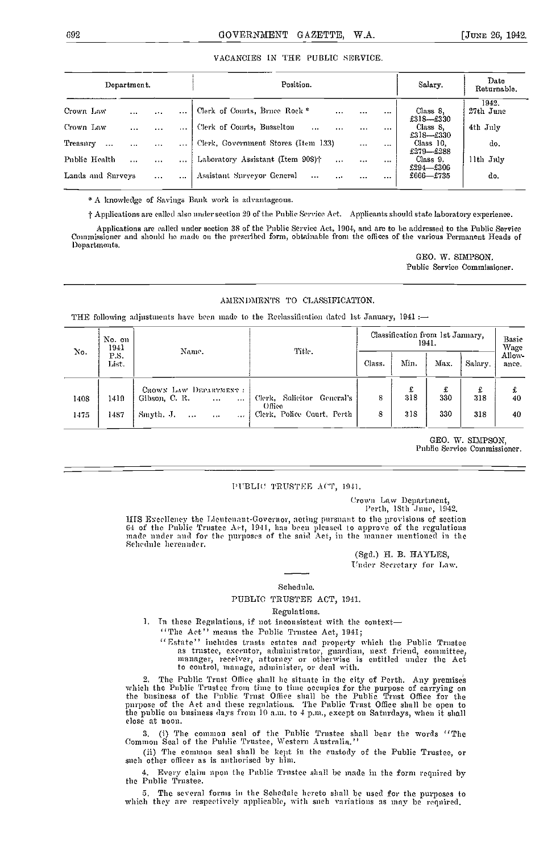# VACANCIES IN THE PUBLIC SERVICE.

|                   | Department. |          |          | Position.                                                 |          | Salary.  | Date<br>Returnable.        |                    |  |
|-------------------|-------------|----------|----------|-----------------------------------------------------------|----------|----------|----------------------------|--------------------|--|
| Crown Law         | $\cdots$    | $\cdots$ | $\cdots$ | Clerk of Courts, Bruce Rock <sup>*</sup><br>$\cdots$      | $\cdots$ | $\cdots$ | Class S,<br>$£318 - £330$  | 1942.<br>27th June |  |
| Crown Law         | $\cdots$    | $\cdots$ |          | Clerk of Courts, Busselton<br>$\ddotsc$<br>$\cdots$       | $\cdots$ |          | Class 8.<br>$£318 - £330$  | 4th July           |  |
| Treasury          |             | $\cdots$ | $\cdots$ | Clerk, Government Stores (Item 133)                       | $\cdots$ | $\cdots$ | Class 10,<br>$£279 - £288$ | do.                |  |
| Public Health     | $\ddotsc$   | $\cdots$ |          | Laboratory Assistant (Item 908) <sup>†</sup><br>$\ddotsc$ |          | $\cdots$ | Class 9.<br>$£294$ -£306   | llth July          |  |
| Lands and Surveys |             | $\cdots$ | $\cdots$ | Assistant Surveyor General<br>$\sim$<br>$\cdots$          | $\cdots$ | .        | $£666$ —£735               | do.                |  |

\* A knowledge of Savings Bank work is advantageous.

t Applications are called also under section 29 of the Public Service Act. Applicants should state laboratory experience.

Applications are called under section 38 of the Public Service Act, 1004, and are to be addressed to the Public Service Commissioner and should be made on the prescribed form, obtainable from the offices of the various Permanent Heads of Departments.

> OBO. W. SIMPSON, Public Service Commissioner.

# AMENDMENTS TO CLASSIFICATION.

THE following adjustments have been made to the Reelassification dated 1st January, 1941 :-

| No.  | No. on<br>1941 | Name.                                                         | Title.                               |        | Classification from 1st January, | 1941.    |          | Basic<br>Wage   |
|------|----------------|---------------------------------------------------------------|--------------------------------------|--------|----------------------------------|----------|----------|-----------------|
|      | P.S.<br>List.  |                                                               |                                      | Class. | Min.                             | Max.     | Salary.  | Allow-<br>ance. |
| 1408 | 1419.          | CROWN LAW DEPARTMENT<br>Gibson, C.R.<br>$\ddotsc$<br>$\cdots$ | Clerk, Solicitor General's<br>Office | 8      | £<br>318                         | £<br>330 | £<br>318 | £<br>40         |
| 1475 | 1487           | Smyth, J.<br>$\cdots$<br>1.11<br>                             | Clerk, Police Court, Perth           | 8      | 318                              | 330      | 318      | 40              |

GEO. W. SIMPSON, Public Service Commissioner.

# PUBLIC TRUSTEE ACT, 1941.

('rowi, Law Department, Perth, 13th June, 1942.

HIS Excellency the Lieutenant-Governor, acting pursuant to the provisions of section 64 of the Public Trustee Act, 1941, has been pleased to approve of the regulations made under and for the purposes of the said Act, in th

(Sgd.) H. B. HAYLES, Under Secretary for Law.

#### Sehednic.

# PUBLIC TRUSTEE ACT, 1941.

#### Regulations.

1. In these Regulations, if not inconsistent with the context-

"The Act" means the Public Trustee Act, 1941;

'' Estate' ' includes trusts estates and property which the Public Trustee as trustee, executor, administrator, guardian, next friend, connnittee, manager, receiver, attorney or otherwise is entitled under the Act to control, manage, administer, or deal with.

2. The Public Trust Office shall he situate in the city of Perth. Any premises which the Public Trustee from time to time occupies for the purpose of carrying on the business of the Public Trust Office shall he the Public Trust Office for the purpose of the Act and these regulations. The Public Trust Office shall be open to the public on business days from 10 a.m., to 4 p.m., except on Saturdays, when it shall close at noon.

3. (i) The common seal of the Public Trustee shall bear the words "The Common Seal of the Public Trustee, Western Australia."

(ii) The Common seal shall be kept in the custody of the Public Trustee, or such other officer as is authoriscd by him.

Every claim upon the Public Trustee shall be made in the form required by the Public Trustee.

The several forms in the Schedule hereto shall be used for the purposes to which they are respectively applicable, with such variations as may be required.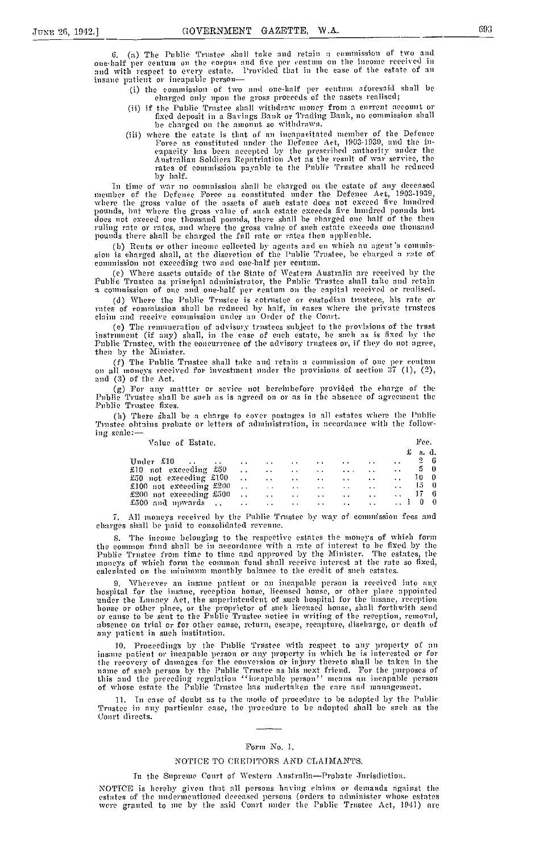(a) The Public Trustee shall take and retain a commission of two and one-half per centum on the corpus and five per centum on the income received in<br>and with respect to every estate. Provided that in the case of the estate of an insane patient or incapable person-

- (i) the commission of two and one-half per centum aforesaid shall be charged only npon the gross proceeds of the assets realised;
- (ii) if the Public Trustee shall withdraw money from a current account or fixed deposit in a Savings Bank or Trading Bank, no eommission shall<br>be charged on the amount so withdrawn.<br>(iii) where the estate is that of an ineapacitated member of the Defence
- where the estate is that of an incapacitated member of the Defence Porce as constituted under the Defence Act, 1903-1939, and the incapacity has been accepted by the prescribed authority under the Australian Soldiers Repatriation Act as the result of war service, the rates of commission payable to the Public Trustee shall be reduced by half.

In time of war no commission shall be charged on the estate of any deceased<br>member of the Defence Force as constituted under the Defence Act, 1903-1939,<br>where the gross value of the assets of such estate does not exceed fi pounds, but where the gross value of such estate exceeds five hundred pounds but<br>does not exceed one thousand pounds, there shall be charged one half of the then ruling rate or rates, and where the gross value of such estate exceeds one thousand pounds there shall be charged the full rate or rates then applicable.

(b) Rents or other income collected by agents and on which an agent 's commission is charged shall, at the discretion of the Public Trustee, be charged a rate of commission not exceeding two and one-half per centum.

Where assets outside of the State of Western Australia are received by the Public Trustee as principal administrator, the Public Trustee shall take and retain a colninission of one and one-half per centum an the capital received or realised.

(d) Where the Public Trustee is cotrustee or enstodian trusteee, his rate or rates of commission shall be reduced by half, in eases where the private trustees claim and receive commission under an Order of the Court.<br>(e) The remuneration of advisory trustees subject to the provisions of the trust

(e) The remuneration of advisory trustees subject to the provisions of the trust instrument (if any) shall, in the case of each estate, he such as is fixed by the Public Trustee, with the concurrence of the advisory trustees or, if they do not agree, then by the Minister.

(f) The Public Trustee shall take and retain a commission of one per centum on all moneys received for investment under the provisions of section 37 (1), (2), and (3) of the Act.

(g) For any mattter or sevice not hereinhefore provided the charge of the Public Trustee shall be such as is agreed on or as in the absence of agreement the Public Trustee fixes.

(h) There shall be a charge to cover postages in all estates where the Public Trustee obtains probate or letters of administration, in accordance with the following scale:

| Value of Estate.                                                  |  |  |                   | Fee.                                                                                                                                                                                                                                 |
|-------------------------------------------------------------------|--|--|-------------------|--------------------------------------------------------------------------------------------------------------------------------------------------------------------------------------------------------------------------------------|
|                                                                   |  |  |                   | s. d.<br>£                                                                                                                                                                                                                           |
|                                                                   |  |  | <b>Contractor</b> | $2\quad 6$<br><b>SALE</b>                                                                                                                                                                                                            |
| £10 not exceeding £50                                             |  |  |                   | 50<br>the participants of the contract of the contract of the contract of the contract of the contract of the contract of the contract of the contract of the contract of the contract of the contract of the contract of the contra |
| £50 not execeding £100                                            |  |  |                   | <b>10</b> 0                                                                                                                                                                                                                          |
| £100 not exceeding £200 $\ldots$ . $\ldots$ . $\ldots$ . $\ldots$ |  |  |                   | 150                                                                                                                                                                                                                                  |
| £200 not exceeding $\pounds 500$ 17 6                             |  |  |                   |                                                                                                                                                                                                                                      |
| £500 and nowards 1 0 0                                            |  |  |                   |                                                                                                                                                                                                                                      |

7. All moneys received by the Public Trustee by way of commission fees and charges shall be paid to consolidated revenue.

S. The income belonging to the respective estates the moneys of which form the common fund shall be in accordance with a rate of interest to be fixed by the Public Trustee from time to time and approved by the Minister. The estates, the moneys of which form the common fund shall receive interest at the rate so fixed, energies of which form the common fund shall receive interest at the rate so fixed,

9. Wherever an insane patient or an incapable person is received into any hospital for the insane, reception house, licensed house, or other place appointed under the Lunacy Act, the superintendent of such hospital for the insane, reception house or other place, or the proprietor of such licensed house, shall forthwith send or cause to be sent to the Public Trustee notice in writing of the reception, removal, absence on trial or for other cause, return, esc ape, recapture, discharge, or death, of ally patient ill such institution.

10. Proceedings by the Public Trustee with respect to any property of an<br>insance patient or incapable person or any property in which he is interested or for the recovery of damages for the conversion or injury thereto shall be taken in the name of such person by the Public Trustee as his next friend. For the purposes of this and the preceding regulation "incapable person" means an incapable person<br>of whose estate the Public Trustee has medertaken the care and management.

11. In ease of doubt as to the mode of procedure to be adopted by the Public Trustee in any particular ease, the procedure to be adopted shall be such as the Court directs.

# Form No. 1.

# NOTICE TO CREDITORS AND CLAIMANTS.

# In the Supreme Court of Western Australia-Probate Jurisdiction.

NOTICE is hereby given that all persons having claims or demands against the estates of the undermentioned deceased persons (orders to administer whose estates were granted to me by the said Conrt under the Public Trustee Act, 1941) are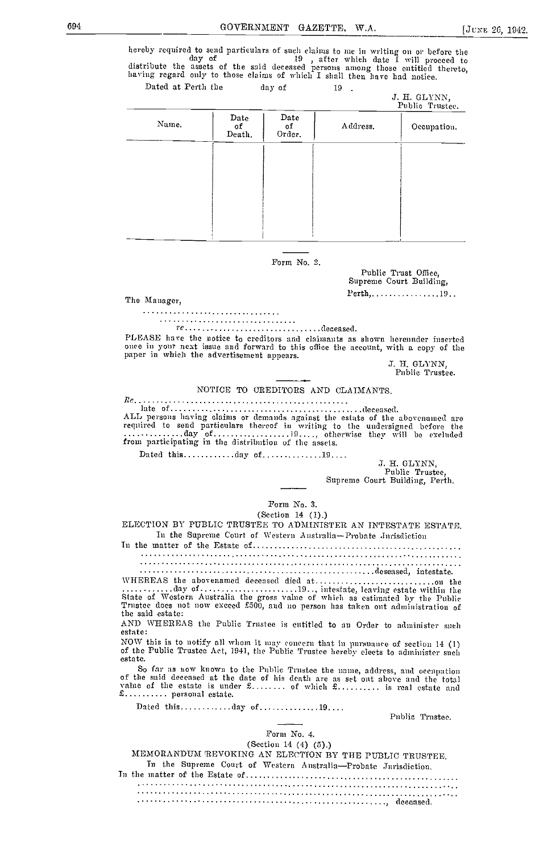hereby required to send particulars of such claims to me in writing on or before the day of and the said deceased persons among those entitled thereto, having regard only to those claims of which I shall then have had noti Dated at Perth the day of 19 .

|       |                      |                      |          | a. n. enriyiy,<br>Public Trustee. |
|-------|----------------------|----------------------|----------|-----------------------------------|
| Name. | Date<br>оf<br>Death. | Date<br>оf<br>Order. | Address. | Occupation.                       |
|       |                      |                      |          |                                   |
|       |                      |                      |          |                                   |
|       |                      |                      |          |                                   |
|       |                      |                      |          |                                   |
|       |                      |                      |          |                                   |

# Form No. 2.

Public Trust Office, Supreme Court Building, The Manager. The Manager,  $Perth, \ldots, \ldots, 19.$ 

re................................deceased.

PLEASE have the notice to creditors and claimants as shown herennder inserted once in your next issue and forward to this office the account, with a copy of the paper in which the advertisement appears.

J. H. GLYNN, Public Trustee.

E. H. GLYNN

NOTICE TO CREDITORS AND CLAIMANTS.

 $Rc.$ a a a a an

late of deceased. ALL persons having claims or demands against the estata of the ahovenained are required to send particulars thereof in writing to the undersigned before the day of <sup>19</sup> otherwise they will be excluded from participating in the distribution of the assets.

Dated this.............day of................19....

J. H. GLYNN, Public Trustee, Supreme Court Building, Perth.

# Form No. 3.

(Section 14 (1).)

ELECTION BY PUBLIC TRUSTEE TO ADMINISTER AN INTESTATE ESTATE. In the Supreme Court of Western Australia-Probate Jurisdiction

In the mutter of the Estate of

deseased, intestate.

yFIEREtS the abovenamed deceased died at on the day of 19. ., intestate, leaving estate within the State of Western Australia the gross value of which as estimated by the Public Trustee does not now exceed £500, and no person has taken out administration of the said estate:

AND WHEREAS the Public Trustee is entitled to an Order to administer such estate:

NOW this is to notify all whom it may concern that in pursuance of section 14 (1) of the Public Trustee Act, 1941, the Public Trustee hereby elects to administer such estate. So far as now known to the Public Trustee the name, address, and occupation

So far as now know], to the Public Trustee the name, address, and oceupo tion of the said deceased at the date of his death are as set out above and the total value of tile estate is under £ of which £ is real estate and £ personal estate.

Dated this ............day of ...............19....<br>Public Trustee.

# Form No. 4.

(Section 14 (4) (5).)

MEMORANDUM REVOKING AN ELECTION BY THE PUBLIC TRUSTEE. In the Supreme Court of Western Australia-Probate Jurisdiction.<br>In the matter of the Estate of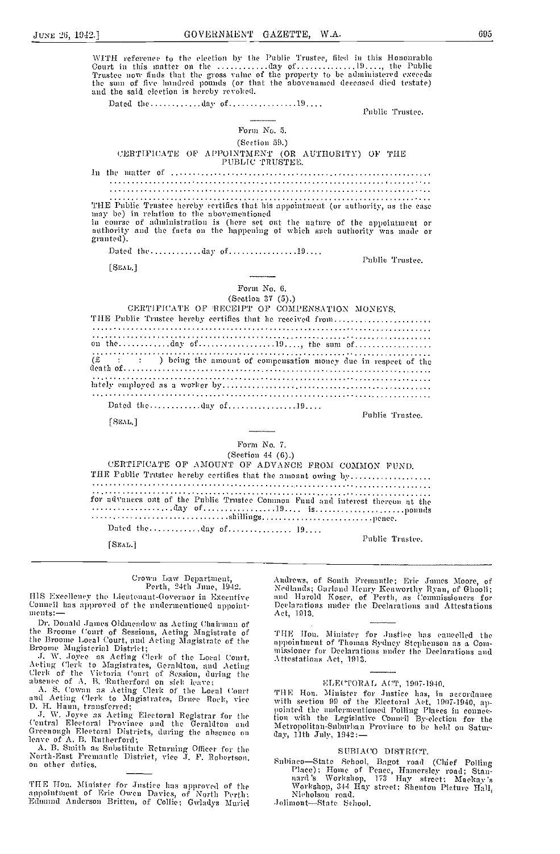695

WITH reference to the election by the Public Trustee, filed in this Honourable<br>Court in this matter on the ..............day of ........................, the Public<br>Trustee now finds that the gross value of the property to and the said election is hereby revoked. Dated the.............day of...................19.... Public Trustec. Form No. 5. (Section 59.) CERTIFICATE OF APPOINTMENT (OR AUTHORITY) OF THE PUBLIC TRUSTEE. THE Public Trustee hereby certifies that his appointment (or authority, as the case may be) in relation to the abovementioned in comes of administration is (here set out the nature of the appointment or authority and the facts on the happening of which such authority was made or granted). Dated the.............day of..................19.... Public Trustee.  $[$ SEM $]$ Form No. 6. (Section 37 (5).) CERTIFICATE OF RECEIPT OF COMPENSATION MONEYS. THE Public Trustee hereby certifies that he received from....................... . . . . . . . . . . . . . . . . . . . on the ...  $\ldots$  day of ...  $\ldots$  ...  $\ldots$  ...  $\ldots$  the same of ...  $\ldots$  ...  $\overline{f}$  (£  $\overline{f}$  +  $\overline{f}$  +  $\overline{f}$  +  $\overline{f}$  +  $\overline{f}$  +  $\overline{f}$  +  $\overline{f}$  +  $\overline{f}$  +  $\overline{f}$  +  $\overline{f}$  +  $\overline{f}$  +  $\overline{f}$  +  $\overline{f}$  +  $\overline{f}$  +  $\overline{f}$  +  $\overline{f}$  +  $\overline{f}$  +  $\overline{f}$  +  $\overline{f}$  + being the amount of compensation money due in respect of the Dated the.............day of..................19.... Public Trustee. [SEAL] Form No. 7. (Section 41 $(6)$ .) CERTIFICATE OF AMOUNT OF ADVANCE FROM COMMON FUND. THE Public Trustee hereby certifies that the amount owing by................... for advances out of the Public Trustee Common Fund and interest thereon at the Public Trustee.  $[SEAL]$ 

#### Crown Law Department Perth, 24th June, 1942.

HIS Excellency the Lieutenant-Governor in Executive Conneil has approved of the undermentioned appointments:-

Dr. Donald James Oldmeadow as Acting Chairman of the Broome Court of Sessions, Acting Magistrate of the Broome Local Court, and Acting Magistrate of the

the Broome Loent Court, and Acting Magistrate of the<br>Broome Magisterial District;<br>J. W. Joyce as Acting Clerk of the Local Court,<br>Acting Clerk to Magistrates, Gernldton, and Acting<br>Clerk of the Victoria Court of Session, d

D. H. Hann, transferred;

J. W. Joyce as Acting Electoral Registrar for the<br>Central Electoral Province and the Geraldton and<br>Greenough Electoral Districts, during the absence on leave of A. B. Rutherford;

A. B. Smith as Substitute Returning Officer for the North-East Fremantle District, vice J. F. Robertson. on other duties.

THE Hon. Minister for Justice has approved of the appointment of Eric Owen Davies, of North Perth; Edmund Anderson Britten, of Collie; Gwladys Muriel

Andrews, of Sonth Fremantle; Eric James Moore, of Nedlands; Garland Henry Kenworthy Ryan, of Ghooli;<br>and Harold Koser, of Perth, as Commissioners for<br>Declarations under the Declarations and Attestations Act, 1913.

THE Hon. Minister for Justice has cancelled the appointment of Thomas Sydney Stephenson as a Commissioner for Declarations under the Declarations and Attestations Act, 1913.

# ELECTORAL ACT, 1907-1940.

THE Hon. Minister for Justice has a in accordance<br>with section 99 of the Electoral Act, 1907-1940, ap-<br>pointed the undermentioned Polling Places in connec-<br>tion with the Legislative Conneil By-election for the<br>Metropolitan day, 11th July, 1942:-

# SUBIACO DISTRICT.

Subiaco-State School, Bagot road (Chief Polling<br>Place): Home of Peace, Hamersley road; Stan-<br>nard's Workshop, 173 Hay street; Mackay's<br>Workshop, 344 Hay street; Shenton Pieture Hall,<br>Nicholson road.

Jolimont-State School.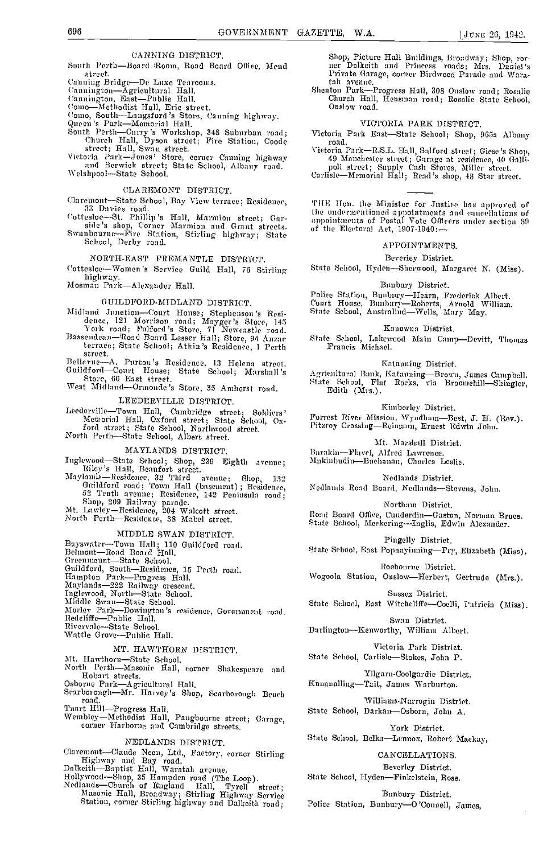# CANNING DISTRICT.

South Perth-Board Room, Road Board Office, Mend strect

street.<br>
Canning Bridge—De Laxe Tearooms.<br>
Cannington—Agricultural Hall.<br>
Cannington, Bast—Publie Hall.<br>
Como—Methodist Hall, Eric street.<br>
Como, South—Langsford's Store, Canning highway.<br>
Queen's Park—Memorial Hall.<br>
Sout

Victoria Park-Jones' Store, corner Canning highway<br>and Berwick street; State School, Albany road.

Welshpool-State School

# CLAREMONT DISTRICT.

Claremont-State School, Bay View terrace; Residence,

Claremont-State School, Bay view terrace, Attsauchee,<br>
33 Davies road.<br>
Cottesloe-St. Phillip's Hall, Marmion street; Gar-<br>
side's shop, Corner Marmion and Grant streets.<br>
Swanbourne-Fire Station, Stirling highway; State<br>

NORTH-EAST FREMANTLE DISTRICT.

Cottesloe-Women's Service Guild Hall, 76 Stirling highway.

Mosman Park-Alexander Hall.

# GUILDFORD-MIDLAND DISTRICT.

Midland Junction-Court Honse; Stephenson's Residence, 121 Morrison road; Mayger's Store, 145<br>York road; Fulford's Store, 71 Newcastle road.<br>Bassendean-Road Board Lesser Hall; Store, 94 Anzae

terrace; State School; Atkin's Residence, 1 Perth street.

Bellevue-A. Purton's Residence, 13 Helena street.<br>Guildford-Court House; State School; Marshall's<br>Etore, 66 East street.

West Midland-Ormonde's Store, 35 Amherst road.

#### LEEDERVILLE DISTRICT.

Leederville-Town Hall, Cambridge street; Soldiers'<br>Memorial Hall, Oxford street; State School, Oxford street; State School, Oxford street; State School, Oxforth Perth-State School, Albert street.

# MAYLANDS DISTRICT.

maximum DiSTRICT.<br>
Inglewood—State School; Shop, 239 Eighth avenue;<br>
Riley's Hall, Beaufort street.<br>
Maylands—Residence, 32 Third avenue; Shop, 132<br>
Guildford road; Town Hall (basement); Residence,<br>
52 Tenth avenue; Reside

# MIDDLE SWAN DISTRICT.

Bayswater-Town Hall; 110 Guildford road.<br>Belmont-Road Board Hall.

Belmont—Road Board Hall,<br>Greenmount—State School,<br>Guildford, South—Residence, 15 Perth road.<br>Hampton Park—Progress Hall.<br>Maylands—222 Railway crescent.<br>Inglewood, North—State School.<br>Middle Swan—State School.<br>Morley Park—D Redeliffe-Public Hall.<br>Rivervale-State School.<br>Wattle Grove-Public Hall.

# MT. HAWTHORN DISTRICT.

Mt. Hawthorn-State School.

North Perth-Masonic Hall, corner Shakespeare and Roth Term-Misonic Lini, corner Suakespeare and<br>
Hobart streets.<br>
Osborne Park-Agricultural Hall.<br>
Searborongh Beach<br>
Searborongh Beach

road

Tnart Hill-Progress Hall.<br>Wembley-Methodist Hall, Pangbourne street; Garage,<br>corner Harborne and Cambridge streets.

# NEDLANDS DISTRICT.

Claremont-Claude Neon, Ltd., Factory, corner Stirling

Claremont—Claude Neon, Ltd., Faetory, corner Suring<br>
Highway and Bay road.<br>
Dalkeith—Baptist Hall, Waratah avenue.<br>
Hollywood—Shop, 35 Hampden road (The Loop).<br>
Nedlauds—Church of England Hall, Tyrell street;<br>
Masonie Hall

Shop, Picture Hall Bnildings, Broadway; Shop, corner Dalkeith and Princess roads; Mrs. Daniel's Private Garage, corner Birdwood Parade and Warafah avenue, comer and come and the state of the state of the state of the Shenton Park-Progress Hall, 308 Onslow road; Rosalie

Church Hall, Hensman road; Rosalie State School, Onslow road.

# VICTORIA PARK DISTRICT.

Victoria Park East-State School; Shop, 965a Albany road.

roual.<br>Vietoria Park—R.S.L. Hall, Salford street; Giese's Shop,<br>49 Manchester street; Garage at residence, 40 Galli-<br>poli street; Supply Cash Stores, Miller street.<br>Carlisle—Memorial Hall; Read's shop, 48 Star street.

THE Hon. the Minister for Justice has approved of the undermentioned appointments and eaneellations of appointments of Postal Vote Officers under section 89 of the Electoral Act, 1907-1940:-

#### APPOINTMENTS.

Beverley District.

State School, Hyden-Sherwood, Margaret N. (Miss).

#### Bunbury District

Police Station, Bunbury-Hearn, Frederick Albert.<br>Court House, Bunbury-Roberts, Arnold William.<br>State School, Anstralind-Wells, Mary May.

Kanowna District.

State School, Lakewood Main Camp-Devitt, Thomas Francis Michael.

Katanning District.

Agricultural Bank, Katanning-Brown, James Campbell.<br>State School, Flat Rocks, via Broomchill-Shingler, Edith (Mrs.).

Kimberley District.

Forrest River Mission, Wyndham-Best, J. H. (Rev.). Fitzroy Crossing-Reimann, Ernest Edwin John.

Mt. Marshall District.

Burakin-Flavel, Alfred Lawrence. Mnkinbudin-Bnchanan, Charles Leslie.

Nedlands District.

Nedlands Road Board, Nedlands-Stevens, John.

Northam District.

Rond Board Office, Cunderdin-Gaston, Norman Bruce. State School, Meckering-Inglis, Edwin Alexander.

Pingelly District.

State School, East Popanyinning-Fry, Elizabeth (Miss).

Roebonrne District. Wogoola Station, Onslow-Herbert, Gertrude (Mrs.).

Sussex District. State School, East Witchcliffe-Coelli, Patricia (Miss).

Swan District.

Darlington-Kenworthy, William Albert.

Victoria Park District. State School, Carlisle-Stokes, John P.

Yilgaru-Coolgardie District. Kunanalling-Tait, James Warburton.

Williams-Narrogin District. State School, Darkan-Osborn, John A.

York District. State School, Belka-Lennox, Robert Mackay,

# CANCELLATIONS.

Beverley District. State School, Hyden-Finkelstein, Rose.

Bunbury District. Police Station, Bunbury-O'Connell, James,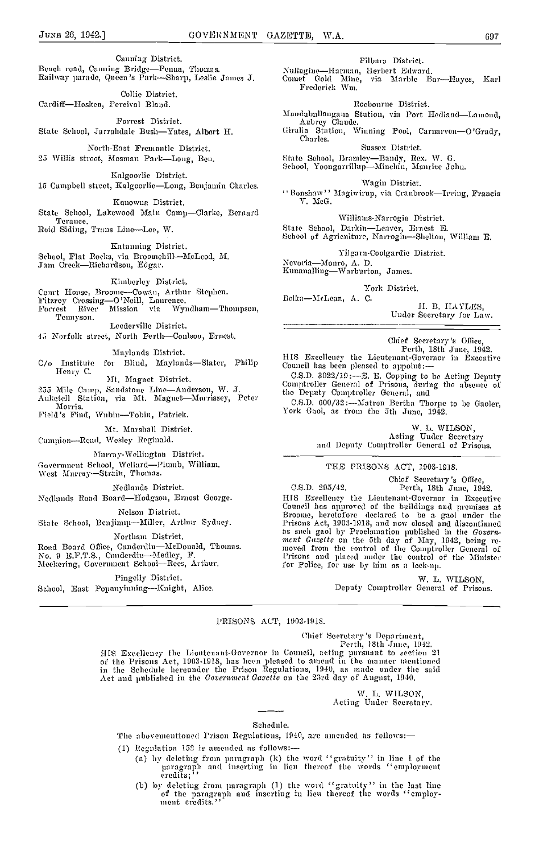Canning District.<br>Beach road, Canning Bridge-Penna, Thomas. Bailway parade, Queen's Park-Sharp, Leslie James J.

Collie District. Cardiff-Hosken, Percival Bland.

Forrest District. State School, Jarrahdale Bush-Yates, Albert H.

North-East Fremantle District. 25 Willis street, Mosman Park-Long, Ben.

Kalgoorlie District. 15 Campbell street, Kalgoorlie-Long, Benjamin Charles.

ICanowna District.

State School, Lakewood Main Camp-Clarke, Bernard Teranee. Reid Siding, Trans Line-Lee, W.

Katanning District. School, Flat Rocks, via Broomchill-McLeod, M. Jam Creek-Richardson, Edgar.

Kiinberley District.

Court Honse, Broome—Cowan, Arthur Stephen.<br>Fitzroy Crossing—O'Neill, Laurence.<br>Forrest River Mission via Wyndham—Thompson,<br>Temryson.

Leederville District. 45 Norfolk street, North Perth-Conlson, Ernest.

Maylands District.  $C/O$  Institute for Blind, Maylands—Slater, Philip  $C/O$  Council has been pleased to appoint:<br>Henry C.

Mt. Magnet District.

255 Mile Camp, Sandstone Line-Anderson, W. J.<br>Anketell Station, via Mt. Magnet-Morrissey, Peter

Morris.

Field's Find, Wubin-Tobin, Patrick.

Mt. Marshall District.

Campion-Read, Wesley Reginald.

Murray-Wellington District.

Government School, Wellard-Plumb, William.<br>West Murray-Strain, Thomas.

Nedlands District.

Nedlands Road Board-Hodgson, Ernest George.

Nelson District.

State School, Benjimup-Miller, Arthur Sydney.

Northam District.

Road Board Office, Cunderdin-McDonald, Thomas.<br>No. 9 E.F.T.S., Cunderdin-Medley, F.

Meekering, Government School-Rees, Arthur.

Pingelly District.

School, East Popanyinning-Knight, Alice.

Pilbara District.

Nullagine-Harman, Herbert Edward. Comet Gold Mine, via Marble Bar—Hayes, Karl<br>Frederick Wm.

Roebourne District.

Mundabullangana Station, via Port Hedland-Lamond, Aubrey Claude.

Giralia Station, Winning Pool, Carnarvon-O'Grady, Charles.

Sussex District.

State School, Bramley-Bandy, Rex. W. G. School, Yoongarrillup-Minchin, Maurice John.

Wagin District. '' Bonshaw'' Magiwirup, via Cranbrook-Irving, Francis V. McG.

Willianis-Narrogin District.

State School, Darkin-Leaver, Ernest E. School of Agriculture, Narrogin—Shelton, William E.

Yilgarn-Coolgardie District,

Nevoria-Monro, A. D.<br>Kunanalling-Warburton, James.

York District.

Belka-MeLean, A. C.

B. IIAYLES,

Under Secretary for Law.

Chief Secretary's Office,<br>Perth, 18th June, 1942.<br>HIS Excellency the Lieutenant-Governor in Excentive

C.S.D. 3022/19 :——E. E. Copping to be Acting Deputy<br>Comptroller General of Prisons, during the absence of<br>the Deputy Comptroller General, and

C.S.D. 000/32:--Matron Bertha Thorpe to be Gaoler, York Gaol, as from the 5th June, 1942.

W. L. WILSON, Acting Under Secretary and Deputy Comptroller General of Prisons.

# THE PRISONS ACT, 1903-1918.

Chief Secretary's Office,<br>C.S.D. 295/42. Perth, 18th June, 1942.<br>HIS Excellency the Lieutenant-Governor in Excentive I-ITS Excellency the Lieutenant-Governor in Executive Council has approved of the buildings and promises at Broonie, heretofore declared to be a gaol under the Prisons Act, 1903-1918, and now closed and discontinued as such gaol by Proclamation published in the Govern-<br>ment Gazette on the 5th day of May, 1942, being removed from the control of the Comptroller General of<br>Prisons and placed under the control of the Minister for Police, for use by him as a lock-up.

> W. L. WILSON, Deputy Comptroller General of Prisons.

# PRISONS ACT, 1903-1918.

Chief Secretary's Department, Perth, 18th .fune, 19-19.

HIS Excellency the Lieutenant-Governor in Council, acting pursuant to section 21<br>of the Prisons Act, 1903-1918, has heen pleased to amend in the manner mentioned<br>in the Schedule hereunder the Prison Regulations, 1940, as m

W. L. WILSON, Acting Under Secretary.

#### Schedule.

The abovementioned Prison Regulations, 1940, are amended as follows:-

- (1) Regulation 152 is amended as follows:
	- by deleting from paragraph (k) the word "gratuity" in line 1 of the paragraph and inserting in lieu thereof the words "employment eredits;"
	- (b) by deleting from paragraph (1) the word "gratuity" in the last line of the paragraph and inserting in lieu thereof the words "employ- ment credits."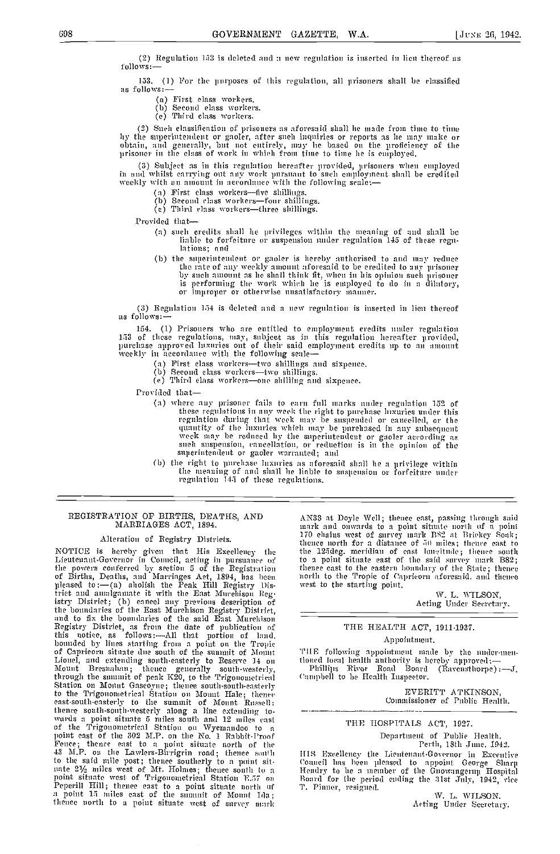(2) Regulation 153 is deleted and a new regulation is inserted in lieu thereof a follows:-

153. (1) For the purposes of this regulation, all prisoners shall be classified as follows:

- First class workers. Second class workers.
- 
- (e) Tlurd class workers.

(2) Such classification of prisoners as aforesaid shall he made from time to time<br>hy the superintendent or gaoler, after such inquiries or reports as he may make or<br>obtain, and generally, but not entirely, may he based on

Subject as in tins regulation hereafter provided, prisoners when eniployed in and whilst carrying out any work pursuant to such employment shall be credited weekly with an amount in accordance with the following scale:—

- 
- (a) First class workers—five shillings.<br>(b) Second class workers—four shillings.<br>(c) Third class workers—three shillings.
- 

Provided that

- such credits shall he privileges within the meaning of and shall be liable to forfeiture or suspension under regulation 145 of these regulations; and
- (b) the superintendent or gaoler is hereby authorised to and may reduce the rate of any weekly amount aforesaid to be credited to any prisoner by such amount as he shall think fit, when in his opinion such prisoner is performing the work which he is employed to do in a dilatory, or improper or otherwise unsatisfactory manner.

(3) Regulation 154 is deleted and a new regulation is inserted in lieu thereof as follows:-

154. (1) Prisoners who are entitled to employment credits under regulation 153 of these regulations, may, subject as in this regulation hereafter provided, purchase approved luxuries ont of their said employment credits up

- 
- 
- First class workers-two shillings.<br>
(b) Second class workers-two shilling and sixpence.<br>
(e) Third class workers-one shilling and sixpence.

Provided that

- where any prisoner fails to earn full marks under regulation 152 of these regulations in any week the right to purchase luxuries under this regulation during that week may be suspended or cancelled, or the quantity of the luxuries which may be purchased in any subsequent week may be periodical hy the superintendent or gaoler according as such anspension, cance
- the right to purchase luxuries as aforesaid shall he a privilege within the meaning of and shall be liable to suspension or forfeiture nuder regulation 145 of these regulations.

#### REGISTRATION OF BIRTHS, DEATHS, AND MARRIAGES ACT, 1894.

# Alteration of Registry Districts.

NOTICE is hereby given that His Excellency the Lieutenant-Governor in Council, acting in pursuance of the powers conferred by section 5 of the Registration thene of Births, Deaths, and Marriages Act, 1894, has been porth<br>pleased to :—(a) abolish the Peak Hill Registry Dis- west trict and amalgamate it with the East Murchison Reg-<br>istry District; (b) eancel any previous description of the boundaries of the East Murehison Registry District, and to fix the boundaries of the said East Murehison **Registry District, as from the date of publication of** And the more than the solution of Registry District, as from the date of publication of this notice, as follows:—All that portion of land, bounded by lines starting from a point on the Tropic of Capricorn situate due south Lionel, and extending south-easterly to Reserve 14 on though local health authority is h<br>Mount Bresnahan; thence generally south-westerly, Phillips River Road Board<br>through the summit of peak K20, to the Trigonometrical (" to the Trigonometrical Station on Mount Hale; thence east-south-easterly to the sumnmit of Mount Russell thence south-south-westerly along a line extending to- wards a point situate 5 miles sonth and 12 miles east of the Trigonometrical Station on Wyemondoo to <sup>a</sup> point east of the 302 MR on the No. 1 Rabbit-Proof Fence; thence east to <sup>o</sup> point situate north of the 43 M.P. on the Lawlers-Birrigrin road; thence south HI to the said mile post; thence southerly to a point sitnate 21/2 miles west of Mt. Holmes; thence south to a Hen point situate west of Trigonometrical Station E57 on Peperili Hill; thence east to a point situate north, of a point 15 miles east of the snmnnit of Monnt Ida; thence north to a point situate west of survey mark

AN33 at Doyle Well; thence east, passing through said<br>mark and onwards to a point situate north of a point<br>170 chains west of survey mark B82 at Brickey Soak;<br>thence north for a distance of 50 miles; thence east to<br>the 125 to a point situate east of the said survey mark B82;<br>thence east to the eastern boundary of the State; thence north to the Tropic of Capricorn aforesaid, and thence west to the starting point.

W. L. WILSON, Acting Under Secretary.

# THE HEALTH ACT, 1911-1937.

#### Appointment.

THE following appointment made by the under-menioned local health authority is hereb)- approvel :- Phillips River Road Board (Ravenstivorpe) :J. (aniphell to be Health Inspector.

> EVERITT ATKINSON, Commissioner of Public Health.

# THE HOSPITALS ACT, 1927.

Department of Public Health,

Perth, 18th June, 1942.<br>HIS Excellency the Lientenant-Governor in Excentive illS :Exe ellemmcy the Lieutenant -Governor in Executive Council has been pleased to appoint George Sharp Hendry to he a member of the Gnowangerm Hospital Board for the period ending the 31st July, 1942, vice T. Pinner, resigned. W. L. WILSON.<br>Acting Under Secretary.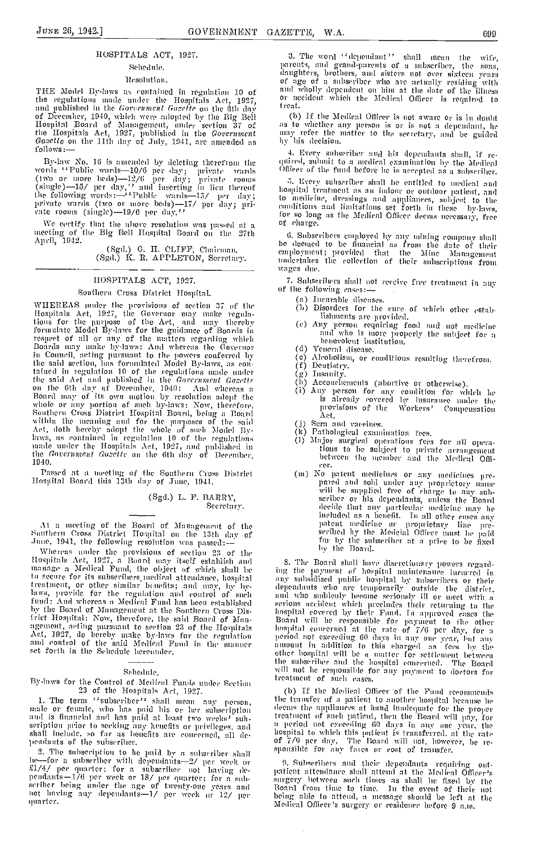# HOSPITALS ACT, 1927.

# Sehedule.

# Resolution.

THE Model By-laws as contained in regulation 10 of the regulations made under the Hospitals Act, 1927,<br>and published in the Government Gazette on the fith day and pursuant in the correlation of December, 1940, which were adopted by the Big Bell<br>Ilospital Board of Management, ander section 37 of<br>the Hospitals Act, 1927, published in the *Government*<br>Gasette on the 11th day of Jul  $follows$ .

By-law No. 16 is amended by deleting therefrom the<br>words "Public wards—10/6 per day; private wards<br>(two or more leds)—12/6 per day; private rooms<br>(single)—15/ per day," and inserting in lieu thereof<br>the following words:—"

We certify that the above resolution was passed at a meeting of the Big Bell Haspital Board on the 27th April, 1942.

(Sgd.) G. H. CLIFF, Chairman.<br>(Sgd.) K. R. APPLETON, Secretary.

# HOSPITALS ACT, 1927.

# Southern Cross District Hospital.

WHEREAS under the provisions of section 37 of the Hospitals Act, 1927, the Governor may make regula-<br>tions for the purpose of the Act, and may thereby formulate Model By-laws for the guidnice of Boards in formulate Model By-laws for the guidance of Boards in<br>respect of all or any of the uniters regarding which<br>Boards may make by-laws: And whereas the Governor<br>in Council, acting pursuant to the powers conferred by<br>the said s Board may of its own motion by resolution adopt the<br>whole or any portion of such by-laws: Now, therefore,<br>Southern Cross District Hospital Board, being a Dourd<br>within the meaning and for the purposes of the said<br>Act, doth 1940.

Passed at a meeting of the Southern Cross District<br>Hospital Board this 13th day of June, 1941.

(Sgd.) L. F. BARRY, Secretary.

At a meeting of the Board of Management of the<br>Sauthern Cross District Hospital on the 13th day of June, 1941, the following resolution was passed :-

Whereas under the provisions of section 23 of the Hospitals Act, 1927, a Board may itself establish and manage a Medical Fund, the object of which shall be manager a metatra trunch, the object or which shall be assumed transmitted attendance, hospital attendance, based treatment, or other similar benefits; and may, by by-<br>treatment, or other similar benefits; and may, by by-<br> by the Board of Management at the Southern Cross District Hospital: Now, therefore, the said Board of Management, acting pursuant to section 23 of the Hospitals Act, 1927, do hereby make by-laws for the regulation<br>and control of the said Medical Fund in the manner set forth in the Schedule hereunder.

# Sehedule.

# By-laws for the Control of Medical Funds under Section 23 of the Hospitals Act, 1927.

1. The term "subscriber" shall mean any person, male or female, who has paid his or her subscription and is financial and has paid at least two weeks' suhseription prior to seeking any henefits or privileges, and<br>shall include, so far as benefits are concerned, all de-<br>pendants of the subscriber.

2. The subscription to he paid by a subscriber shall 2. The subsection to the path by a subsectior shall<br>the for a subsectior with dependants—2/ per week or<br> $18/$  per quarter; for a subsectior not having de-<br>pendants—1/6 per week or  $18/$  per quarter; for a sub-<br>serilier bei ouarter.

3. The word "dependant" shall mean the wife. parents, and grand-parents of a subscriber,  $the$  $sons$ places, and sixters not over sixters the sons,<br>of anythers, brothers, and sisters not over sixteen years<br>of age of a subseriber who are actually residing with<br>and wholly dependent on him at the date of the illness<br>or accid treat.

(b) If the Medical Officer is not aware or is in doubt as to whether any person is or is not a dependant, he<br>may refer the matter to the secretary, and be guided<br>hy his decision.

4. Every subscriber and his dependants shall, if required, submit to a medical examination by the Medical Officer of the fund before he is accepted as a subscriber.

5. Every subscriber shall be entitled to medical and hospital treatment as an indoor or outdoor patient, and to medicine, dressings and appliances, subject to the detection and initiations and appliances, subject to the conditions and initiations set forth in these by-laws, for so long as the Medical Officer deems necessary, free of charge.

6. Subscribers employed by any mining company shall be deened to be funneial as from the date of their employment; provided that the Mine Management undertakes the collection of their subscriptions from wages due.

7. Subscribers shall not receive free treatment in any of the following cases:-

- (a) Incurable discuses.
- (b) Disorders for the cure of which other establishments are provided.
- (e) Any person requiring food and not medicine and who is more properly the subject for a
- (d) Veneral disease.

Alcoholism, or conditions resulting therefrom.  $(e)$ 

- Deutistry. (f)
- er ventistry<br>(g) Insunity<br>(h) Account
- 
- (h) Accousing,<br>
(h) Accousing the condition of the problem of the state of the state of the state of the provisions of the provisions of the Workers' Componsation à t.
- 
- (j) Sera and vaccines.<br>(k) Pathological examination fees.
- (1) Major surgical operations fees for all operations to be subject to private arrangement between the member and the Medical Offieer.
- eer.<br>
(m) No patent medicines or any medicines pre-<br>
pared and sold under any proprietory name<br>
will be supplied free of charge to any sub-<br>
seriber or his dependants, unless the Board<br>
decide that any particular medicine meaded as a sened in the propertative inter-<br>patent medicine are propertative line pro-<br>seribed hy the Medeial Officer must be paid<br>for by the subseriber at a price to be fixed<br>by the Board.

8. The Board shall have discretionary powers regard-S. The Board shull have discretionary powers regarding the payment of hospital maintenance incurred in any subsidised public hospital by subseribers or their dependants who are temporarily outside the district, and who su nospiral concerned at the rate or  $I/D$  per day, ror a<br>period not exceeding 60 days in any one year, but any<br>amount in addition to this charged as fees by the<br>other hospital will be a matter for settlement between<br>the subsc treatment of such cases.

(b) If the Medical Officer of the Fund recommends the transfer of a patient to another hospital because he deems the appliances at hand inadequate for the proper treatment of such patient, then the Board will pay, for rectionate to start pattern, then the Board will pay, for<br>hospital to which this patient is transferred, at the rate<br>hospital to which this patient is transferred, at the rate<br>of 7/6 per day. The Board will not, however, b

9. Subscribers and their dependants requiring out-<br>patient attendance shall attend at the Medical Officer's surgery hetween such times as shall be fixed by the surgery hetween such times as shall be fixed by the Board from time to time. In the event of their not being able to attend, a message should be left at the Medical Offic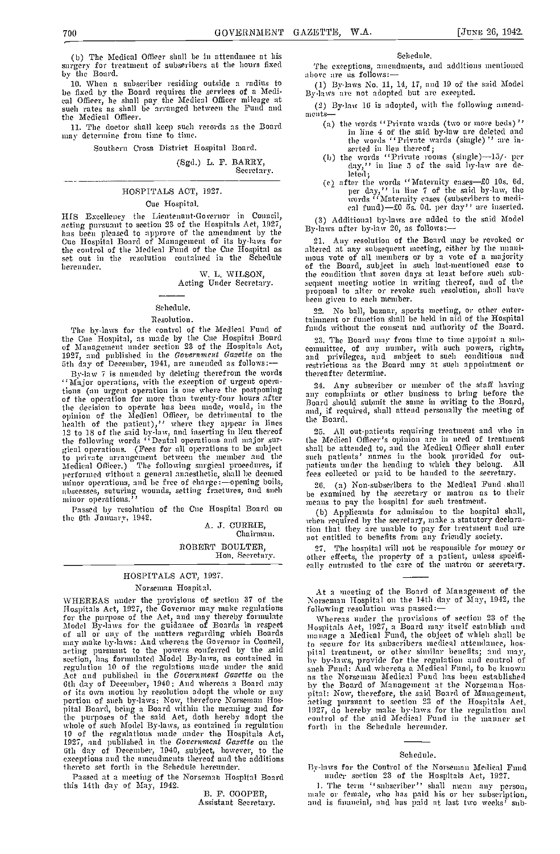(b) The Medical Officer shall be in attendance at his surgery for treatment of subscribers at the hours fred

by the Board. When a subscriber residing outside a radius to be fixed by the Board requires the services of a Medi-<br>cal Officer, he shall pay the Medical Officer mileage at  $\begin{pmatrix} 2 \end{pmatrix}$ <br>such rates as shall be arranged between the Fund and the Medical Officer.

The doctor shall keep such records as the Board may determine from time to time.

Southern Cross District Hospital Board.

(Sgd.) L. F. BARRY,<br>Secretary.

# HOSPITALS ACT, 1927.

# Cue Hospital.

I-ItS Excellency the Lieutenant-Governor in Council, acting pursuant to section 23 of the Hospitals Act, 1927, has been pleased to approve of the amendment by the By-laws for 21 the control of the Medical Fund of the Cue Hospital as set out in the resolution contained in the Schedule set out in the resolution contained in the Schedule hereunder.

W. L. WILSON, Acting Under Secretary.

# Schedule.

#### Resolution.

The by-laws for the control of the Medical Fund of the Cue Hospital, as made by the Cue Hospital Board 23. The Board may from time to time appoint a sub-<br>of Management under section 23 of the Hospitals Act, committee, of any number, with such powers, rights, 1927, and published in the Government Gazette on the 5th day of December, 1941, are amended as follows:

By-law 7 is amended by deleting therefrom the words "Major operations, with the exception of urgent opera-<br>tions (an urgent operation is one where the postponing of the operation for more than twenty-four hours after the decision to operate has been made, would, in the <sup>15001</sup> ind, opinion of the Medical Officer, be detrimental to the mid, health of the patient),'' where they appear in lines the 12 to 18 of the said by-law, and inserting in lieu thereof 2<br>the following words ''Dental operations and major sur-<br>the gical operations. (Fees for all operations to be subject shall<br>to private arrangement between the member and the such Medical Officer.) The following surgical procedures, if patic<br>performed without a general anaesthetic, shall be deemed fees nuncor operations." The free of charge of charge of charge of charge of charge operations." The fractures, and such the examined by the secretary or matron as minor operations."

Passed by resolution of the Cue Hospital Board on the 6th January, 1942. A. J. CURRIE,

Chairman.

ROBERT BOULTER,

Hon. Secretary.

#### HOSPITALS ACT, 1927.

# Norseman Hospital.

WHEREAS muder the provisions of section 37 of the Hospitals Act, 1927, the Governor may make regulations for the puidance of Boards in respective Model By-laws for the guidance of Boards in respective  $\frac{1}{2}$ for the purpose of the Aet, and may thereby formulate Whe Model By-laws for the guidance of Boards in respect Hospit of all or any of the matters regarding which Boards managemay make by-laws: And whereas the Governor in C section, has formulated Model By-laws, as contained in  $\frac{1}{2}$  by by regulation 10 of the regulations made under the said  $\frac{1}{2}$  such  $\frac{1}{2}$  at  $\frac{1}{2}$  at  $\frac{1}{2}$  at  $\frac{1}{2}$  at  $\frac{1}{2}$  at  $\frac{1}{2}$  at  $\frac{$ of the day of December, 1940: And whereas a Board may<br>of its own motion by resolution adopt the whole or any portion of such by-laws: Now, therefore Norseman Hos-<br>pital Board, being a Board within the meaning and forthe purposes of the said Act, doth hereby adopt the control whole of such Model By-laws, as contained in regulation forth 10 of the regulations made under the Hospitals Act, 1927, and published in the *Government Gazette* thereto set forth in the Schedule hereunder.

Passed at a meeting of the Norseman Hospital Board has this 14th day of May, 1942.

F. COOPER, Assistant Secretary.

#### Schedule.

The exceptions, amendments, and additions mentioned

- (1) l3y-laws No. 11, 14, 17, and 19 of the said Model By-laws arc not adopted but are excepted.
- $(2)$  By-law 16 is adopted, with the following amend
	- the words "Private wards (two or more beds)" in line 4 of the said by-law are deleted and the words ' Private wards (single) ' ' are in-
	- serted in lieu thereof;<br>
	(b) the words ''Private rooms (single)--15/- per<br>
	day,'' in line 5 of the said by-law are deleted;
	- $(c)$  after the words "Maternity eases-£0 10s. 6d. per day," in line 7 of the said by-law, the words 'Maternity cases (subscribers to medi- cal fund)— $\pm 0$  5s. Od. per day'' are inserted.

(3) Additional by-laws are added to the said Model By-laws after by-law 20, as follows:-

21. Any resolution of the Board may be revoked or altered at any subsequent meeting, either by the muani-<br>mous vote of all members or by a vote of a majority of the Board, subject in such last-mentioned ease to the condition that seven days at least before such sub- sequent meeting notice in writing thereof, and of the proposal to alter or revoke such resolution, shall have been given to each member.

22. No ball, bazaar, sports meeting, or other enter-<br>tainment or function shall be held in aid of the Hospital funds without the consent and authority of the Board.

23. The Board may from time to time appoint a sub-<br>committee, of any number, with such powers, rights, and privileges, and subject to such conditions and restrictions as the Boord may at such appointment or thereafter determine.

Any subscriber or member of the stall having any complaints or other business to bring before the Board should submit the same in writing to the Board, and, if required, shall attend personally the meeting of the Board.

All out-patients requiring treatment and who in 25. All out-pattents requiring reatment and one in the Medical Officer's opinion are in need of treatment shall be attended to, and the Medical Officer shall enter such patients' names in the book provided for outpatients under the heading to which they belong. All fees collected or paid to be handed to the secretary.

26. (a) Non-subscribers to the Medical Fund shall be examined by the secretary or matron as to their

(b) Applicants for admission to the hospital shall, when required by the secretary, make a statutory declara-<br>tion that they are unable to pay for treatment and are<br>not entitled to benefits from any friendly society.

The hospital will not be responsible for money or other effects, the property of a patient, unless specifi- cally entrusted to the care of the ,natron or secretary.

Whereas under the provisions of section 23 of the<br>Hospitals Act, 1927, a Board may itself establish and<br>manage a Medical Fund, the object of which shall be ta secure for its subscribers medical attendance, haspital treatment, or other similar benefits; and may, by by-laws, provide for the regulation and control of such Fund: And whereas a Medical Fund, to be known as the Norseman Medical Fund has been established<br>by the Board of Management at the Norseman Hos-<br>pital: Now, therefore, the said Board of Management,<br>acting pursuant to section 23 of the Hospitals Act,<br>1927, do hereby mak forth in the Schedule hereunder.

#### Schedule.

fly-laws for the Control of the Norsemnan Medical Fund under section 23 of the Flospitals Act, 1927.

1. The term ''subscriber'' shall mean any person, male or female, who has paid his or her subscription, and is financial, and has paid at last two weeks' sub-

At a meeting of the Board of Management of the Norseman Hospital on the 14th day of May, 1942, the following resolution was passed:-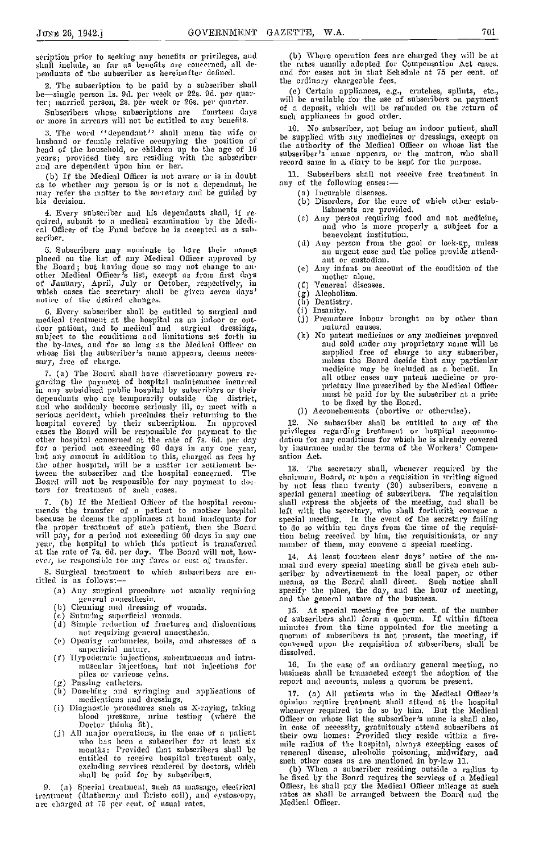shall include, so far as benefits are concerned, all dependants of the subscriber as hereinafter defined.

2. The subscription to be paid by a subscriber shall be-single person 1s. 9d. per week or 22s. 9d. per quar-

ter; married person, 2s. per week or 20s. per quarter. Subseribers whose subseriptions are fourteen days<br>or more in arrears will not be entitled to any benefits.<br>2. The word ((dependent)) shall weap the wife and  $\frac{10}{10}$ . No subseriber, not being an indoor patient, shall

3. The word "dependant" shall mean the wife or husband or female relative occupying the position of head of the household, or children up to the age of 16 years; provided they are residing with the subscriber and are dependent upon him or her.

(b) If the Medical Officer is not aware or is in doubt all. Subseribers shall no<br>as to whether any person is or is not a dependant, he any of the following eases:<br>may refer the matter to the secretary and be guided by (a) may refer the matter to the secretary and be guided by Ins decision.

Every subscriber and his dependants shall, if re- quired, submit to a medical examination by the Medi cal Officer of the Fund before he is accepted as a sal,- scriber.

Subscribers may nominate to have their names placed on the list of any Medical Officer approved by the Board; but having done so may not change to an-<br>other Medical Officer's list, except as from first days<br>of January, April, July or October, respectively, in which cases the secretary shall be given seven days' notice of the desired changes.

which cases the secretary shall be given seven days'  $(g)$  Aleoholism<br>
notice of the desired changes. (h) Dentistry.<br>
6. Every subscriber shall be entitled to surgical and (i) Insanity.<br>
not patient, and to medical and sur the by-laws, and for so long as the Medical Officer on whose list the subscriber's name appears, deems neces- sary, free of charge.

(a) The Board shall have discretionary powers re- garding the payment of hospital maintenance incurred in any subsicbsed public hospital by subscribers or their depeudants who are temporarily outside the district, dependants who are temporarily outside the district, and who suddenly become serionsly ill, or meet with a serious accident, which precludes their returning to the hospital covered by their subscription. In approved eases the Board will be responsible for payment to the privile<br>other hospital concerned at the rate of 7s. 6d. per day dation for a period not exceeding 60 days in any one year, by in that any amount in addition to this, charged as fees by satio the other hospital, will be a matter for settlement be-<br>tween the subscriber and the hospital concerned. The Board will not be responsible for any payment to doetors for treatment of such cases.

7. (b) If the Medical Officer of the hospital recom-<br>mends the transfer of a patient to another hospital<br>because he deems the appliances at hand inadequate for the proper treatment of such patient, then the Board will pay, for a period not exceeding 60 (lays in any one year, the hospital to which this pmitient is trnnsfcrred at the rate of 7s. Gd. per day. The Board will not, however, be responsible for any fares or cost of transfer.

S. Surgical treatment to which subscribers arc entitled is as follows:

- (a) Any surgical procedure aot usually requiring general annesthesia.<br>
(b) Cleaning and dressing of wounds.
- 
- b) Cleaning and dressing of wounds.<br>e) Suturing superficial wounds.
- Simple reduction of fructures and dislocations  $\frac{d\mathbf{r}}{d\mathbf{r}}$ iot requiring general anaesthesia.<br>(c) Opening carbuneles, boils, and abscesses of a
- superficial nature.
- (f) Hypodermic injections, subcutaneous and intra museular injections, but not injections for piles or varicose veins.<br>(g) Passing catheters. The re
- 
- (g) Passing catheters.<br>(h) Douching and syringing and applications of<br>medications and dressings. (a) Douching and syringing and applications of  $\begin{array}{ccc} 17. \ \text{mediations and dressings,} \end{array}$  opinic (i) Diagnostic procedures such as X-raying, taking  $\begin{array}{ccc} \text{whence} \end{array}$
- blood pressure, urine testing (where the  $\Omega_{\rm ff}^{\rm min}$
- Doctor thinks fit).<br>
All major operations, in the case of a patient their<br>
who has been a subscriber for at least six<br>
months: Provided that subscribers shall be<br>
venerge entitled to receive hospital treatment only, excluding services rendered by doctors, which shall be paid for by subscribers.

9. (a) Special treatment, such as massage, electrical treatment (diathermy and Bristo coil), and cystoscopy, are charged at 75 per cent, of usual rates.

scription prior to seeking any benefits or privileges, and (b) Where operation fees are charged they will be at (b) Where operation fees are charged they will be at the rates usually adopted for Compensation Act eases, and for cases not in that Schedule at 75 per cent, of the ordinary chargeable fees.

> (e) Certain appliances, e.g., crutches, splints, etc., will be available for the use of subscribers on payment of a deposit, which will be refunded on the return of such appliances in good order.

iO. No subscriber, not being an indoor patient, shall be supplied with any ,nedicincs or dressings, except on the authority of the hiedical Officer on whose list the subscriber's annie appears, or the matron, who shall record same in a diary to be kept for the purpose.

11. Subscribers shall not receive free treatment in any of the following eases:

- 
- (b) Disorders, for the cure of which other estab-<br>lishments are provided.
- lishments are provided. (c) Any person requiring food and not medicine, and who is more properly a subject for a
- benevolent institution. (d) Any person from the gaol or lock-up, unless aim urgent ease and the police provide attend- ant or custodian.
- ant or enstodian.<br>(e) Any infant on account of the condition of the mother alone.
- Venereal diseases.  $(f)$
- Alcoholism.
- 
- 
- (i) Insanity.<br>(j) Premature labour brought on by other than natural causes.
- No patent medicines or any medicines prepared and sold under any proprietary name will be<br>supplied free of charge to any subscriber,<br>unless the Board decide that any particular<br>medicine may he included as a benefit. In medicine may be included as a benefit. In all other cases any patent medicine or pro-<br>prietary line prescribed by the Medical Officer the best fixed by the subsection of the best behind for by the subsection at a price<br>to be fixed by the Board.<br>(1) Accouchements (abortive or otherwise).
- 

12. No subscriber shall be entitled to any of the privileges regarding treatament or hospital accommodation for any conditions for which he is already covered by insurance under the terms of the Workers' Compen-<br>sation Act.

The secretary shall, whenever required by the chairman, Board, or upon a requisition in writing signed by not less than twenty (20) subscribers, convene a special general meeting of subscribers. The requisition shall express the objects of the meeting, and shall be left with the secretary, who shall forthwith convene a special meeting. In the event of the secretary failing to do so within ten days from the time of the requisition being received by him, the rcquisitionists, or any number of them, may convene a special meeting.

14. At least fourteen clear days' notice of the an-<br>
mual and every special meeting shall be given each sub-<br>
scriber by advertisement in the local paper, or other<br>
means, as the Board shall direct. Such notice shall specify the place, the day, and the hour of meeting, and the general nature of the business.

15. At special meeting five per cent, of the number of subscribers shall form a quorum. If within fifteen minutes from the time appointed for the meeting a ,ninutes from the time appointed for the meeting a quorum of subscribers is not present, the meeting, if convened upon the requisition of subscribers, shall be dissolved.

In the case of an ordinary geaerai meeting, no business shall be transactcd except the adoption of the report and accounts, unless a quorum be present.

17. (a) All patients who in the Medical Officer's opinion require treatment shall attend at the hospital whenever required to do so by 1dm. But the Medical Officer on whose list the subscriber's name is shall also, Officer on whose list the subseriber's name is shall also,<br>in ease of necessity, gratuitously attend subseribers at<br>their own homes: Provided they reside within a five-<br>mile radius of the hospital, always excepting eases o such other cases as are mentioned in by-law 11.<br>(b) When a subscriber residing outside a radius to

be fixed by the Board requires the services of a Medical Officer, he shall pay the Medical Officer mileage at such Officer, he shall pay the Medical Officer mileage at such rates as shall be arranged between the Board and the Medical Officer.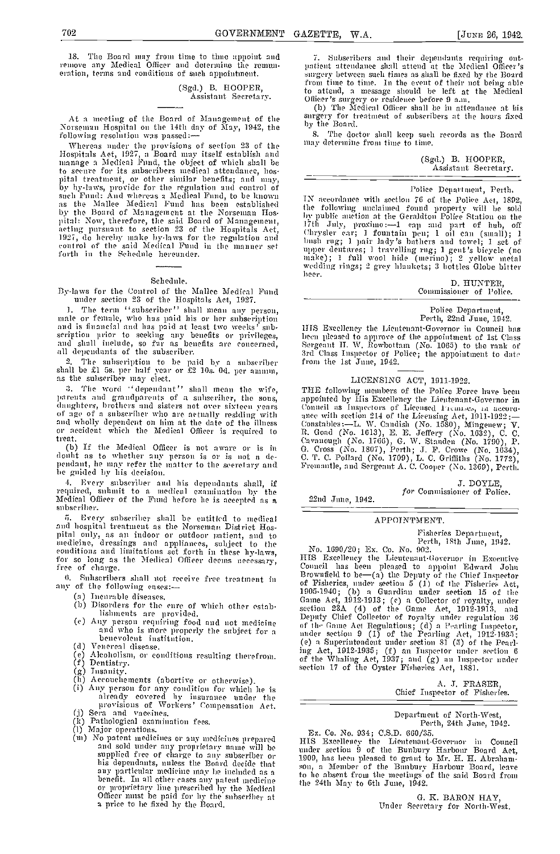18. The Board may from time to time appoint and remove any Idedieal Officer and determine the remun- eration, terms and conditions of such appointment.

> (Sgd.) B. HOOPER, Assistant Secretary.

At a meeting of the Board of Management of the Norseman Hospital on the 14th clay of May, 1942, the following resolution was passed:-

Whereas under the provisions of section 23 of the Hospitals Act, 1927, a Board may itself establish and manage a Medical Fund, the object of which shall be to secure for its subscribers medical attendance, hos-<br>pital treatment, or other similar benefits; and may,  $\frac{1}{1}$ <br>by hy-laws, provide for the regulation and control of<br>such Fund: And whereas a Medical Fund, to be know as the Mallee Medical Fund has been established  $\frac{1}{10}$  for by the Board of Management at the Norseman Hos-Ital: Now, therefore, the said Board of Management, acting pursuant to section 23 of the Hospitals Act, 17th<br>acting pursuant to section 23 of the Hospitals Act, 1927, do hereby make by-laws for the regulation and 1998. control of the said Medical Fund in the manner set<br>forth in the Schedule hereunder.

#### Schedule.

fly-laws for the Control of the Malice Medical Fund under section 23 of the Hospitals Act, 1927.

Tue term "subscriber" shall mean any person, male or female, who has paid his or her subscription and is financial and has paid at least two weeks' sub-<br>scription prior to seeking any benefits or privileges, been pleased to approve of the appointment of Lat Chas<br>and shall include, so far as benefits are concerned, Serg

The subscription to be paid by a subscriber shall be £1 5s. per half ear or £2 lOs. Od. per annum, as the subscriber may elect.

3. The word "dependant" shall mean the wife, parents and grandparents of a subscriber, the sons, daughters, brothers and sisters not over sixteen years — Conn<br>of age of a subseriher who are actually residing with — <sub>ance</sub> and wholly dependent on him at the date of the illness component on the Medical Officer is required to R.<br>treat. (b) If the Medical Officer is not aware or is in

doubt as to whether any person is or is not n de- C. pendant, he may refer the matter to the secretary and Frem: be guided by his decision.

Every subscriber and his dependants shall, if required, submit to a medical examination by the Medical Officer of the Fund before lie is accepted as a subscriber.

Every subscriber shall be entitled to medical and hospital treatment as time Norseman District los- pi timi only, as an imldoor or outdoor i ,aticnt, and to medicine, dressings and appliances, subject to the conditions and limitations set forth in these hy-laws,<br>for so long as the Medical Officer deems necessary,<br>free of charge.

- (a) Incurable diseases.
- (b) Disorders for the cure of which other estab-
- (b) Distouters for the enre or which other estable.<br>
(c) Any person requiring food and not medicine and who is more properly the subject for a<br>
penevolent institution.
- 
- (d) Venereal disease.<br>(e) Alcoholism, or conditions resulting therefrom.<br>(f) Dentistry.
- 
- 
- 
- (g) Insanity.<br>
(h) Accouchements (abortive or otherwise).<br>
(i) Any person for any condition for which he is<br>
already covered hy insurance under the<br>
provisions of Workers' Compensation Act. (j) Sera and vaccines.<br>
(k) Pathological examination fees.<br>
(l) Major operations.
- 
- 
- (m) No patent medicines or any medicines prepared and sold under any proprietary name will be and sold under any proprietary name will be his dependants, nuless the Board decide that<br>any particular medicine may be included as a<br>benefit. In all other cases any patent medicine<br>or proprietary line prescribed by the Medicial<br>Officer must be paid for hy the subsc

Subscribers and their dependants requiring ontpatient attendance shall attend at the Medical Officer's in rgei-)- between such tinles as shall ho fixed by tile Board from time to time. In the event of their not being able to attend, a message should be left at the Medical

Officer's surgery or residence before 9 a.m.<br>(b) The Medical Officer shall be in attendance at his<br>surgery for treatment of subscribers at the hours fixed surgery for treatment of subscribers at the hours fixed<br>by the Board.

The doctor shnll keep such records as the Board may determine from time to time.

(Sgd.) B. HOOPER,<br>Assistant Secretary.

Police Depnrtnient, Perth.

IN accordance with section 76 of the Police Act, 1892, the following unclaimed found property will be sold my public auction at the Geraldton Police Station on the I 7th July, proximo: -1 cap and part of lub, off Chrysler ear; 1 fountain pen; 1 oil can (small); 1<br>bush rug; 1 pair lady's bathers and towel; 1 set of<br>upper dentures; 1 travelling rug; 1 gent's bicycle (no make); 1 full wool hide (merino); 2 yellow metal<br>wedding rings; 2 grey hlankets; 3 hottles Globe bitter<br>beer.

D. HUNTER, Commissioner of l'olice.

Police Departlnent, Perth, 22nd June, 1912.

1115 Excellency the Lieutenant-Governor ill Council has heen picased to approve of the appointment of 1st Class Sergeant II. W. Rowhottam (No. 1065) to the rank of from the 1st June, 1942.

# LICENSING ACT, 1911-1922.

THE following members of the Police Force have been appointed by His Excellency the Lieutenant-Governor in Council as Inspectors of Licensed Premises, in accord-Conneil as Inspectors of Licensed Premises, in accordance with section 214 of the Licensing Act, 1911-1922:—<br>Constables:—L, W. Candish (No. 1580), Mingenew; V.<br>Constables:—L, W. Candish (No. 1580), Mingenew; V.<br>C. Good (No Fremantle, and Sergeant A. C. Cooper (No. 1369), Perth.

> 3. DOYLE, for Commissioner of Police.

22nd June, 1942.

# APPOINTMENT.

Fisheries Department,<br>Perth, 18th June, 1942.

(1. Subscribers shall not receive free treatment in Brownfield to be-(a) the Deputy of the Chief Inspector<br>any of the following eases:-No. 1690/20; Ex. Co. No. 902. HIS Excellency the Lieutenant-Governor in Excentive<br>Conneil has been pleased to appoint Edward John Council has been pleased to appoint Edward John Brownfield to be—(a) the Deputy of the Chief Inspector of Fisheries, under section 5 (1) of the Fisheries Act, 1905-1940; (b) a Guardian under section 15 of the Game Act, 1912-1913; (c) a Collector of royalty, under<br>section 23A (4) of the Game Act, 1912-1913, and Deputy Chuef Collector of royalty under regulation 36 of the Game Act Regulations; (d) a Pearling Inspector, under section 9 (1) of the Pearling Act, 1912-1935;<br>(e) a Superintendent under section 81 (5) of the Pearling Act, 1912-1935; (f) an Inspector under section 6 of the Whaling Act, 1937; and (g) an Inspector under section 17 of the Oyster Fisheries Act, I881.

| A. J. FRASER.                 |  |
|-------------------------------|--|
| Chief Inspector of Fisheries. |  |

Department of North-West, Perth, 24th June, 1942.

Ex. Co. No. 934; C.S.D. 660/35.

118 Excellency the Lientenant-Governor in Council<br>under section 9 of the Bunbury Harbour Board Act, under section 9 of the Bunbury Harbour Board Act, 1909, has been pleased to grant to Mr. H. H. Abraham-<br>son, a Member of the Bunbury Harbour Board, leave<br>to be absent from the meetings of the said Board from the 24th May to 6th June, 1942.

G. IC. BARON HAY, Under Secretary for North-West.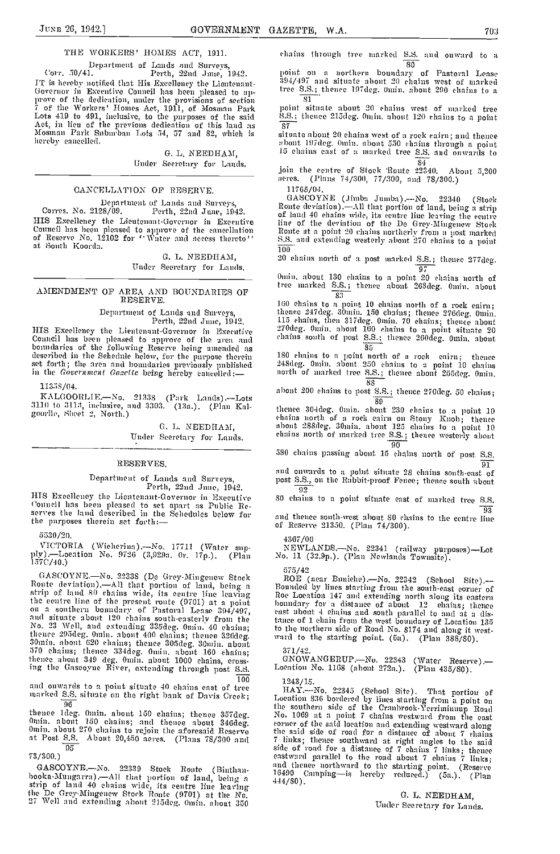Department of Lands and Surveys,<br>Corr. 50/41. Perth, 22nd June, 1942.<br>IT is hereby notified that His Excellency the Lientenant-Fr is nereby notified that His Excellency the Lientenant-<br>
Governor in Executive Conneil has been pleased to ap-<br>
prove of the dedication, muler the provisions of section<br>
7 of the Workers' Homes Act, 1911, of Mosman Park<br>

G. L. NEEDHAM. Under Secretary for Lands.

# CANCELLATION OF RESERVE.

Department of Lands and Surveys, Corres. No. 2128/09. Perth, 22nd June, 1942. HIS Excellency the Lieutenant-Governor in Executive Council has been pleased to approve of the cancellation of Reserve No. 12102 for 'Water and access thereto'' and extending westerly about 270 chains to a point at South Koorda.

> C. L. NEEDIIAM, Under Secretary for Lands.

# AMENDMENT OF AREA AND BOUNDARIES OF RESERVE.

Department of Lands and Surveys, Perth, 22nd June, 1912.

HIS Excellency the Lieutenant-Governor in Executive Council has been pleased to approve of the area and boundaries of the following Reserve being amended as described in the Schedule below, for the purpose therein 180 set forth; the area and boundaries previonsly published  $^{248\text{d}G}$  in the Government Gazette being hereby cancelled:-

11358/04.

KAL000RLIE.-Xo. 21338 (Park Lands).-Lots  $3110$  to  $3113$ , inclusive, and  $3303$ . (13a.). (Plan Kal-  $\frac{1}{6}$ 

> C. L. NEEDHAM, Under Secretary for Lands.

# **RESERVES**

# Department of Lands and Surveys,<br>Perth, 22nd June, 1942.<br>HIS Excellency the Lientenant-Governor in Excentive

HIS Excellency the Lieutenant obvernor in Executive Council has been pleased to set apart as Public Reserves the land described in the Schedules below for the purposes therein set forth:-

5530/20.

VICTORIA (Wieherina) -No. 17711 (Water sup-<br>ply).—Location No. 9726 (3,929a. 0r. 17p.). (Plan No.<br>157C/40.)

GASCOYNE.—No. 22338 (De Grey-Mingenew Stock ROI<br>Route deviation).—All that portion of land, being a strip of land 80 chains wide, its centre line leaving Roe L the centre line of the present route (9701) at a point<br>on a southern boundary of Pastoral Lease 394/497, cast a<br>and situate about 120 chains south-easterly from the trance<br>No. 23 Well, and extending 335deg. 0min. 40 chains thence 295deg. 0min. about 400 chains; thence 326deg.<br>30min. about 620 chains; thence 305deg. 30min. about<br>570 chains; thence 334deg. Omin. about 160 chains; thence about 349 deg. 0min. about 1000 chains, cross-<br>ing the Gaseoyne River, extending through post S.S.

and onwards to a point situate 40 chains east of tree<br>marked S.S. situate on the right bank of Davis Creek;<br> $\frac{56}{96}$ 

96 thence Ideg. Omin. about 150 chains; thence 357deg. No. 1<br>
Omin. about 150 chains; and thence about 346deg. corne:<br>
Omin. about 270 chains to rejoin the aforesaid Reserve the s.<br>
at Post <u>S.S.</u> About 20,450 acres. (Plan 95

73/3 00.)

GASCOYNE.-No. 22339 Stock Route (Binthan-<br>booka-Mungarra).--All that portion of land, being a strip of land 40 chains wide, its centre line leaving 444/80). the De Grey-Mingenew Stork Route (9701) at the No. 27 Well and extending about 215deg. Omin. about 350

chains through tree marked  $\frac{S.S.}{80}$  and onward to a

80<br>point on a northern boundary of Pastoral Lease<br>394/497 and situate abont 20 chains west of marked tree S.S.; thence 197deg. 0min. about 290 chains to a

81 point situate nbout 20 chains west of marked tree 5.8.; thence 2lSdeg. 0mm. about 120 chains to a point 87

situate about 20 chains west of a rock cairn; and thence about 1. It is commenced to see S.S. and onwards to

84 join time centre of Stock Route 22340. About 5,200 acres. (Plans 74/300, 77/300, and 78/300.)

 $11765/04.$  GASCOYNE (Jimba Jumba).—No. GASCOYNE (Jimba Jumba) .— No. 22340 (Stock<br>Route deviation) .— All that portion of land, being a strip<br>of land 40 chains wide, its centre line leaving the centre Iine of the deviation of the De Grey-Mingenew Stock Route at a point 20 chains northerly from a post marked

100 20 chains nortim of a. post marked 5.5.; thence 277deg.

97 Onun. about 130 chains to a point 20 clinins north of tree marked S.8.; timemmee about 263deg. 0mm. about

83 I 60 chains to a point 10 chains nartli of a rock cain, thence 247deg. 30min. 150 chains; thence 276deg. 0min.<br>115 chains, then 317deg. Omin. 70 chains; thence about<br>270deg. Omin. about 160 chains to a point situate 20<br>chains south of post S.S.; thence 260deg. Omin. about

85<br>180 chains to a point north of a rock cairm; thence 248deg. Omin. abont 250 chains to a point 10 chains<br>north of marked tree S.S.; thence abont 255deg. 0min.

88 a bout 200 chains to post S.S.; thence 27Odcg. 50 chains;

89 thence 3O4dcg. Oniin. about 230 chains to a point 10 chains north of a rock cairn on Stony Knob; timence abont 288deg. 30mm. abont 125 chains to a point 10 chains north of marked tree S.S.; thence westerly about 90

580 chains passing about 15 chains north of post S.S.

9]. and onwards to a point situate 28 chains south-east of post S-S., on the Rabbit-proof Fence; thence southm about 92

80 chains to a point situate cast of marked tree S.S.

93 and thence south-west about 80 chains to the centre line of Reserve 21350. (Plan 74/300).

4367/06

NEWLANDS.-No. 22341 (railway purposes)-Lot No. 11 (32.9p.). (Plan Newlands Townsite).

5 75/42 ROE (near Buniche).-No. 22342 (School Site).- Rounded by lines starting framu tIme south-east corner of Roe Location 147 and extending north along its eastern houndary for a distance of about 12 chains; thence east about 4 chains and south parallel to and at a distance of 1 chain from the west boundary of Location 135 to the northern side of Rond No. 8174 and along it westward to the starting point. (5a). (Plan 388/80).

37 1/42. GNOWANGERUP.-No. 22343 (Water Reserve).- Location No. 1108 (about 272a.). (Plan 435/SO).

1243/15.

 $HAY$ .-No. 22345 (Sehool Site). That portion of Location 836 bordered by lines starting from a point on the southern side of the Cranbrook-Yerriminnup Road No. 1069 at a point 7 chains westward from the east corner of the said location and extending westward along time snid side of road for a distance of about 7 chains 7 links; thence southward at right angles to the said side of road for a distance of 7 chains 7 links; thence and thence northward to the starting point. (Reserve 16490 Camping-is hereby reduced.) (Sa.). (Plan

> G. L. NEEDHAM, Under Secretary for Lands.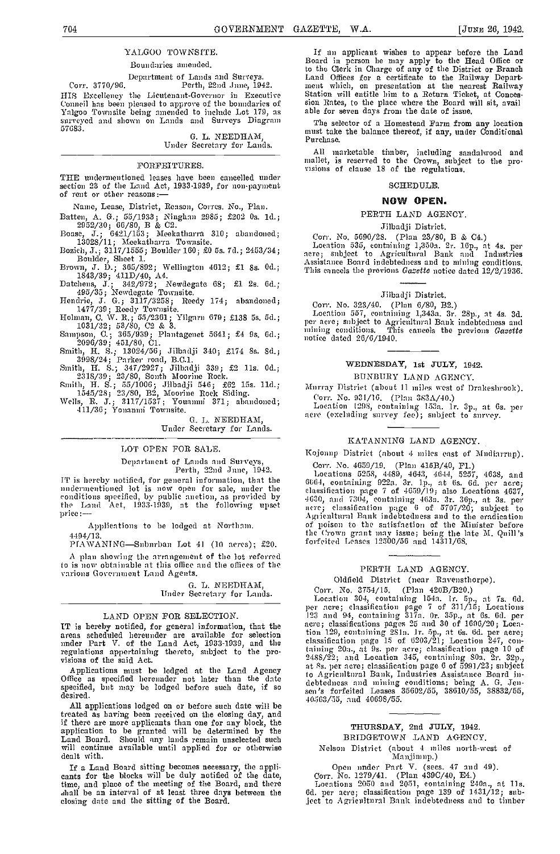# YALGOO TOWNSITE.

# Boundaries amended.

Department of Lands and Surveys.<br>Corr. 3770/96. Perth, 22nd June, 1942.<br>HIS Excellency the Lieutenant-Governor in Executive Homeil has been pleased to approve of the boundaries of Sion Rates, to the place where the Board Nagro Townsite being amended to include Lot 179, as suble for seven days from the date of issue, surveyed and shown on Lands 57683.

G L NEEDHAM,

# Under Secretary for Lands.

# **FORFEITURES**

FORFEITURES. THE undermentioned leases have been cancelled under visions of clause 18 of the regulations. section 23 of the Land Act, 1933-1939, for non-payment of rent or other reasons:—

Name, Lease, District, Reason, Corres. No., Plan.

Batten, A. G.; 55/1933; Ninghan 2985; £202 Os. 1d.;<br>2952/30; 66/80, B & C2.<br>Boase, J.; 6421/153; Meekatharra 310; abandoned;

13028/11; Meekatharra Townsite.

l3ozieh, J.; 3117/1555; Boulder 160; £0 5s. 7d.; 2453/34; Boulder, Sheet 1.

Brown, J. D.; 365/892; Wellington 4612; £1 8s. 0d.;<br>1843/39; 411D/40, A4.<br>Datchens, J.; 342/972; Newdegate 68; £1 2s. 6d.;<br>495/35; Newdegate Townsite.<br>Hendrie, J. G.; 3117/3258; Reedy 174; abandoned;

1477/39; Reedy Townsite.<br>
Holman, C. W. R.; 55/2361; Yilgarn 679; £138 5s. 5d.;<br>
1031/32; 53/80, C2 & 3.<br>
Sampson, C.; 365/939; Plantagenet 5641; £4 9s. 6d.;<br>
2096/39; 451/80, C1.<br>
Smith, H. S.; 13024/56; Jilbadji 340; £17

1.345/28; 23/SO, 132, Moorine Rock Siding. Wells, H. J.; 3117/1537; Youanini 371; abandoned; 411/36 ; Yonanmi Townsite.

G. L. NEEDHAM, Under Secretary for Lands.

# LOT OPEN FOR SALE.

Department of Lands and Surveys, Perth, 22nd June, 1942.

IT is hereby notified, for general information, that the  $0.644$ <br>
undermentioned lot is now open for sale, under the class<br>
conditions specified, by public auction, as provided by  $0.463$ ,<br>
the Land Act, 1933-1939, at the

Applications to he lodged at Northam.

4494/13. PIAWANING-Suburban Lot 41 (10 acres); £20.

A plan showing the arrangement of the lot referred jo is now obtainable at this office and the offices of the various Government Land Agents.

G. L. NEEDHAM, Under Secretary for Lands.

LAND OPEN FOR SELECTION.<br>IT is hereby notified, for general information, that the IT is hereby notified, for general information, that the acre;<br>areas scheduled hereunder are available for selection  $\frac{1}{100}$ <br>under Part V. of the Land Act, 1933-1939, and the classic

Applications must be lodged at the Land Agency at  $^{81}$  S.<br>Office as specified hereunder not later than the date  $^{10}$  Agency specified, but may be lodged before such date, if so seemed.

AU applications lodged on or before such date will be treated as having been received on the closing day, and if there are more applicants than one for any block, the application to be granted will be determined by the Land Board. Should any lands remain unselected such will continue available until applied for or otherwise dealt with.

If a Land Board sitting becomes necessary, the appli-<br>
cants for the blocks will be duly notified of the date,<br>
time, and place of the meeting of the Board, and there shall be an interval of at least three days between the 6d. closing date and the sitting of the Board.

If an applicant wishes to appear before the Land Board in person lie may apply to the Head Office or to the Clerk in Charge of any of the District or Branch Land Offices for a certificate to the Railway Department which, on presentation at the nearest Railway Station will entitle him to a Return Ticket, at Concession Rates, to the place where the Board will sit, avail able for seven days from the date of issue.

The selector of a Homestead Farm from any location must take the balance thereof, if any, under Conditional Purchase.

All marketable timber, including sandalwood and<br>mallet, is reserved to the Crown, subject to the pro-<br>visions of clause 18 of the regulations.

# SCHEDULE.

# NOW OPEN.

#### PERTH LAND AGENCY.

# Jilbadji District.

Corr. No. 5690/28. (Plan 23/80, B & C4.)<br>Location 535, containing 1,350a. 2r. 16p., at 4s. per acre; subject to Agricultural Bank and Industries Assistance Board indebtedness and to mining conditions. This cancels the previous Gazette notice dated 12/9/1936.

# Jilbadji District.

Corr. No. 323/40. (Plan 6/80, B2.)<br>Location 557, containing 1,343a. 3r. 28p., at 4s. 3d.<br>per acre; subject to Agricultural Bank indebtedness and<br>mining conditions. This cancels the previous Gazette<br>notice dated 26/6/1940.

# WEDNESDAY, 1st JULY, 1942.

BUNBURY LAND AGENCY.

Murray District (about 11 miles west of Drakeslnook). Corr. No. 931/16. (Plan 383A/40.)

Location 1298, containing 153a. Ir. 3p., at 6s. per<br>acre (excluding survey fee); subject to survey.

#### KATANNING LAND AGENCY.

Kajonup District (about 4 miles east of Mudiarrnp).

Corr. No. 4659/19. (Plan 415B/40, F1.)<br>Locations 5258, 4489, 4643, 4644, 5257, 4638, and 6064, containing 922a. 3r. 1p., at 6s. 6d. per acre;<br>classification page 7 of 4659/19; also Locations 4637,<br>4630, and 7304, containing 463a. 3r. 36p., at 3s. per acre; classification page 6 of 5707/20; subject to Ag, icultural Bank indebtedness and to tho eradication of poison to the satisfaction of the Minister before the Crown grant may issue; being the late M. Quill 's forfeited Leases 12500/56 and 14311/68.

# PERTH LAND AGENCY.

Oldfield District (near Ravensthorpe).

regulations appertaining thereto, subject to the pro-<br>visions of the said Act.<br>visions of the said Act.<br> $\frac{2488/22}{1}$ , and Location 345, containing 80a, 2r. 32p. Corr. No. 3754/15. (Plan 42013/1320.) Location 304, containing 154n. lr. 5p., at 7s. 6d. per acre; classification page 7 of 311/15; Locations<br>123 and 94, containing 317a. Or. 35p., at 6s. 6d. per<br>acre; classifications pages 25 and 30 of 1696/20; Location 129, containing 281a. 1r.5p., at 6s. 6d. per acre;<br>classification page 15 of 6203/21; Location 247, con-2488/22; and Location 345, containing 80a. 2r. 32p., 3488/22; and Location 345, containing 80a. 2r. 32p., 4t Ss. per acre; classification page 6 of 5991/23; subject to Agricultural Bank, Industries Assistance Board indebtedness and mining conditions; being A. G. Jensen's forfeited Leases 35602/55, 38610/55, 38832/55, 40563/55, and 40698/55.

# THURSDAY, 2nd JULY, 1942. BRTDGETOWN LAND AGENCY.

Nelson District (about 4 miles north-west of Manjimup.)

Open under Part V. (sees. 47 and 49). Corr. No. 1279/41. (Plan 439C/40, E4.)<br>Locations 2050 and 2051, containing 240a., at 11s.<br>6d. per acre; classification page 139 of 1431/12; sub-<br>ject to Agricultural Bank indebtedness and to timber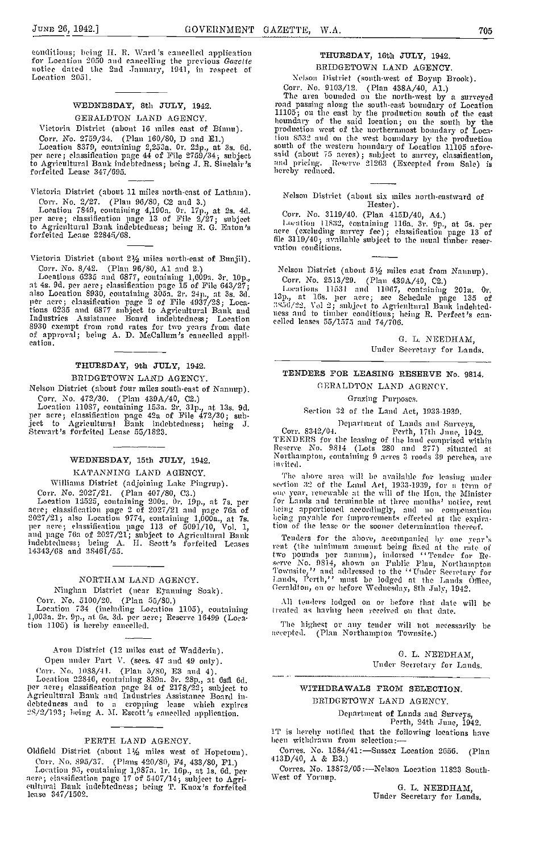eonditions; being H. R. Ward's eancelled application for Location 2050 and cancelling the previous *Gazette*<br>notice dated the 2nd January, 1941, in respect of<br>Location 2051.

# WEDNESDAY, 8th JULY, 1942.

GERALDTON LAND AGENCY. Victoria District (about 16 miles east of Binnu).

Corr. No. 2759/34. (Plan 160/80, D and E1.) tioning 1,000 and 160/80, D and E1.) tioning 2,253a. Or. 22p., at 3s. 6d. source; classification page 44 of Pile 2759/34; subject said to Agricultural Bank indebtedness; being J. forfeited Lease 347/695.

Victoria District (about 11 miles north-east of Latham).

Corr. No. 2/27. (Plan 96/SO, 02 and 3.) Location 7349, containing 4,l9Oa. Or. l?p., at 2s. 4d. per acre; classification page 13 of File 2/27; subject to Agricultural Bank indebtedness; being B. 0. Eaton's forfeited Lease 22845/68.

Victoria District (about 2% miles north-east of Bunjil).

Corr. No. 8/42. (Plan 96/80, A1 and 2.) Nels<br>
Locations 6235 and 6877, containing 1,609a. 3r. 10p., Cor<br>
at 4s. 9d. per acre ; classification page 15 of File 643/27; Location 8930, containing 305a. 2r. 24p., at 3s. 3d.<br>
a Industries Assistance Board indebtedness; Location ress<br>8930 exempt from road rates for two years from date<br>of approval; being A. D. McCallum's cancelled appli-<br>cation.

# THURSDAY, 9th JULY, 1942.

BRIDGETOWN LAND AGENCY.

Nelson District (about four miles south-east of Nannup).

Corr. No. 472/30. (Plan 439A/40, 02.) Location 11087, containing 153a. 2r. alp., at 13s. 9d. per acre; classification page 42a of Pile 472/30; subject to Agricultural Bank indebtedness; being 1. Stewart's forfeited Lease 55/1323.

# WEDNESDAY, 15th JULY, 1942.

KATANNING LAND AGENCY.

Williams District (adjoining Lake Pingrup).<br>Corr. No. 2027/21. (Plan 407/80, C3.)

Corr. No. 2027/21. (Plan 407/80, C3.)<br>
Location 12525, containing 200a. 0r. 19p., at 7s. per<br>
acre; classification page 2 of 2027/21 and page 76a of<br>
2027/21; also Location 9774, containing 1,000a., at 7s.<br>
per acre; class and page 76a of 2027/21 ; snbject to Agricultural Bank indebtedness; being A. H. Scott's forfeited Leases 14343/68 and 38461/55.

# NORTHAM LAND AGENCY.

Ninglian District (near Eyanning Soak).

Corr. No. 5100/20. (Plan 55/SO.) Location 734 (including Location 1105), containing 1,003a. 2r. 9p.,at Cs. 3d. per acre; Reserve 16499 (Loca-tion 1105) is hereby cancelled.

Avon District (12 miles east of Wadderin). Open under Part V. (sees. 47 and 49 only).

Open muter rate v. (sees. 27 and 23 only).<br>
Corr. No. 1088/41. (Plan 5/80, E3 and 4).<br>
Location 22846, containing 839a. 3r. 28p., at 6sfl 6d.<br>
per acre, elassification page 24 of 2178/22; subject to<br>
Agrienltural Bank and

# PERTH LAND AGENCY.

Oldfield District (about  $1\frac{1}{2}$  miles west of Hopetoun). Corr.No. 895/37. (Plans 420/30, P4, 433/30, P1.)

Location 95, containing 1,987a. 1r. 16p., at 1s. 6d. per Compare; elassification page 17 of 5407/14; subject to Agri- West cultural Bank indebtedness; being T. Knox's forfeited lease 347/1502.

# THURSDAY, 16th JULY, 1942. BBIDGETOWN LAND AGENCY.

Nelson District (south-west of Boyup Brook).

Corr. No. 9103/12. (Plan 438A/40, Al.)<br>The area bounded on the north-west by a surveyed road passing along the south.east boundary of Location 11105; on the east by the production south of the east boundary of the said location; on the south by the production west of the northernmost boundary of Loca-I ion 8532 and on the west boundary by the production south of the western honndary of Location 11105 afore-<br>said (about 75 acres); subject to survey, classification,<br>and pricing. Reserve 21263 (Excepted from Sale) is hereby reduced.

Nelson District (about six miles north-eastward of Hester).

Corr. No. 3110/40. (Plan 415D/40, A4.)

finn 11832, containing 116a. 3r. 9p., at 5s. per acre (excluding survey fee) ; classification page 13 of file 3119/40; available subject to the usual thnber reser- vation conditions.

Nelson District (abont  $5\frac{1}{2}$  miles east from Nannup). Corr. No. 2513/29. (Plan 439A/40, C2.)

Locutions 11531 and 11067, containing 201a. Or.<br>13p., at 16s. per acre; see Schedule page 135 of  $^{3856/22}$ . Vol 2; subject to Agricultural Bank indehted-<br>ness and to timber conditions; heing R. Perfect's can-<br>celled leases 55/1575 and 74/706.

> a. L. NEEDHAM, Under Secretary for Lands.

# TENDERS FOR LEASING RESERVE No. 9814.

GERALDTON LAND AGENCY.

# Grazing Purposes.

Section 32 of the Land Act, 1033-1930.

Depart In en t of Lan dsa nil Surveys, Corr. S342/04. Perth, I 7th 3 One, 1942. TENDERS for the leasing of the land comprised within Reserve No. 9814 (Lots 280 and 277) situated at Northampton, containing 9ae rcs3r 00(15 39 perches, a 'c invited.

The above area will be available for leasing under<br>section 32 of the Land Act, 1933-1939, for a term of<br>one year, renewable at the will of the Hon, the Minister for Lands and terminable at three months' notice, rent being apportioned accordingly, and no compensation being payable for improvements effected at the expiration of the lease or the sooner determination thereof.

Tenders for the above, accompanied by one year's rent (the minimum amount being fixed at the rate of<br>two pounds per annum), indorsed ''Tender for Reserve No. 9814, shown on Public Plan, Northampton<br>Townsite,'' and addressed to the ''Under Secretary for Lands, Perth," must be lodged at the Lands Office,<br>Geraldton, on or hefore Wednesday, 8th July, 1942.

All tcudei-s lodged On or before that (late will be treated as having been received on that date.

The highest or any tender will not necessarily be accepted. (Plan Northampton Towasite.)

> 0. L. NEEDHAM, Under Secretary for Lands.

# WITHDRAWALS FROM SELECTION. DRIDGETOWN LAND AGENCY.

Department of Lands and Surveys,

Perth, 24th June, 1942.

IT is herehy notified that the following locations have been withdrawn from selection:-

Corres. No. 1584/41:-Sussex Location 2656. (Plan 413D/40, A & B3.)

Corres. No. 13872/05:-Nelson Location 11823 South-West of Yornup.

G. L. NEEDHAM, Under Secretary for Lands.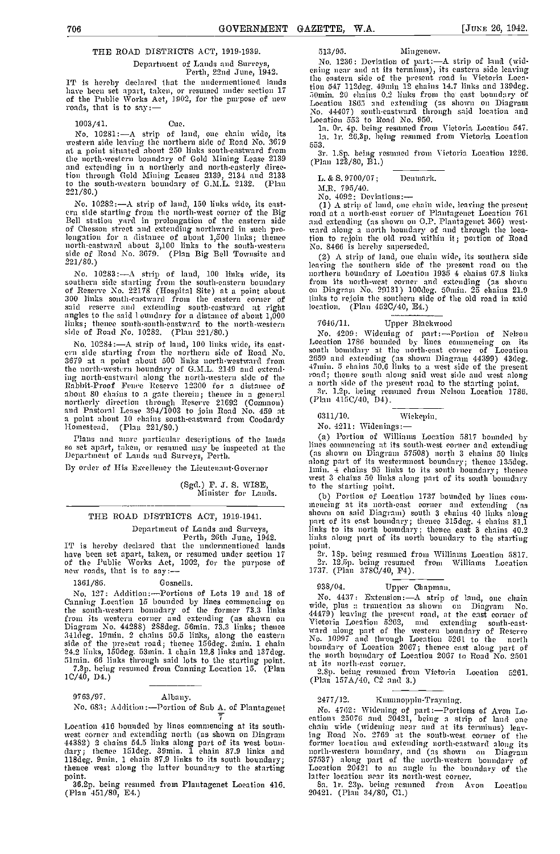# THE ROAD DISTRICTS ACT, 1919-193g.

Department of Lands and Surveys,<br>Perth, 22nd June, 1942.<br>IT is hereby declared that the mudermentioned lands IT is declared that the unit of the under section 17 of the Public Works Act, 1902, for the purpose of new roads, that is to say  $-$ 

#### 1003/41. Cue.

No. 10281 :- A strip of land, one chain wide, western side leaving the northern side of Road No. 3679  $553$ at a point situated about 250 links south-eastward from the north-western boundary of Gold Mining Lease 2139 and extending in a northerly and north-easterly direc-<br>tion through Gold Mining Leases 2139, 2134 and 2133 to the south-western boundary of G.M.L. 2132. (Plan  $\frac{11}{M}$  $221/80.$ )

No. 10282 :- A strip of land, 150 links wide, its east em side starting from the north-west corner of the Big Bell station yard in prolongation of the eastern side of Chesson street and extending northward in such prolongation for a distance of about 1,500 links; thence ition to north-eastward about 3,100 links to the south-western No. 8 side of Road No. 3679. (Plan Big Bell Townsite and (2) 221/80.)

southern side starting from the south-eastern boundary of Reserve No. 22178 (Hospital Site) at a point about said reserve and extending south-eastward at right angles to the said I oundary for a distance of about 1,000<br>said reserve and extending south-eastward at right angles to the said I oundary for a distance of about 1,000<br>li links; thence south-south-eastward to the north-western side of Road No. 10282. (Plan 221/80.)

No. 10284:—A strip of land, 100 links wide, its east-<br>era side starting from the northern side of Road No. south bound<br>3679 at a point about 500 links north-westward from  $\frac{2659}{47}$  and extend-<br>the north-western boundar ing north-eastward along the north-western side of the  $\frac{1000}{3}$  Rabbit-Proof Fence Reserve 12300 for a distance of  $\frac{2000}{3}$ abont 80 chains to a gate therein; thence in a general northerly direction through Reserve 21692 (Common) (Plan and Pastoral Lease 394/1003 to join Road No. 459 at a point about 10 chains sonth-eastward from Coodardy 631 H

Plans and more particular descriptions of the lands so set apart, taken, or resumed may be inspected at the lines<br>Department of Lands and Surveys, Perth. (38

By order of His Excellency the Lieutenant-Governor

(Sgd.) F. J. S. WISE, Minister for Lands.

# THE ROAD DISTRICTS ACT, 1919-1941.

Department of Lands and Surveys, Finks<br>Perth, 26th June, 1942. IT is hereby declared that the undermentioned lands have<br>have been set apart, taken, or resumed under section 17 2r. of the Public Works Act, 1902, for the purpose of new roads, that is to say:— 17

#### 1361/86. Gosnells.

No. 127: Addition:---Portions of Lots 19 and 18 of Canning Location 15 bounded by lines commencing on wide, the south-western boundary of the former 73.3 links  $\frac{44\sigma}{}$ from its western corner and extending (as shown on The Victor<br>Diagram No. 44288) 288deg. 56min. 73.3 links; thence 341deg. 19min. 2 chains 50.5 links, along the eastern Nor<br>side of the present road; thence 156deg. 2min. 1 24.2 links, 150deg. 53min. 1 chain 12.8 links and 137deg.  $\begin{array}{ccc}\n 51\text{min.} & 66\text{ links through said lots to the starting point.} \\
 7.3\text{p. being resumed from Canning Location 15. (Plan 28)\n$ 

7.3p. being resumed from Canning Location 15. (Plan 1C/40, D4.)

# 9763/97. Albany.

No. 683: Addition -Portion of Sub A. of Plantagenet

Location 416 bounded by lines commencing at its south- west corner and extending north (as shown on Diagram 44382) 9 chains 54.5 links along part of its west boun- dary; thence lSldeg. 39mm. 1 chain 87.9 links and llSdeg. 9mm. 1 chain 87.9 links to its south boundary; thence west along the latter boundary to the starting

thence west along the latter boundary to the starting point.<br>36.2p. being resumed from Plantagenet Location 416.<br>(Plan 451/80, E4.)

513/95. Mingenew.

No. 1236: Deviation of part -- A strip of land (wid-<br>ening near and at its terminus), its eastern side leaving the eastern side of the present road in Victoria Location 547 112deg. 49mm 12 chains 14.7 links and 139deg.<br>50mm. 20 chains 0.2 links from the east boundary of<br>Location 1865 and extending (as shown on Diagram Normin. 20 'united as the extending (as shown on Diagram No. 44407) sonth-eastward through said location and Location 553 to Road No. 950.

1a. 0r. 4p. being resumed from Victoria Location 547. 1a. Ir. 26.3p. being resumed from Victoria Location

553. 3r. l.Sp. being resumed front Victoria Location 1226. (Plan 123/80, B1.)

L. & S. 9700/07; Denmark.

MR. 795/40.

No. 4092: Deviations:—<br>(1) A strip of land, one chain wide, leaving the present read at a north-east corner of Plantagenet Location 761<br>and extending (as shown on O.P. Plantagenet 366) westand extending (as shown on OP. Plantagenet 366) west- ward along a north boundary of and tlsrough the location to rejoin the old road within it; portion of Road No. 8466 is hereby superseded.

No. 10283:- A strip of land, 100 links wide, its upthern boundary of Location 1935 4 chains 67.8 links (2) A strip of land, one chain wide, its southern side leaving the southern side of the present road on the front its nartli-west corner and extending (as shown on Diagram No. 29131) lOOdeg. 50mm. 25 chains 21.9 links to rejoin the southern side of the old road in said location. (Plan 4520/40, E4.)

# Upper Blackwood

No. 4209: Widening of part:-Portioa of Nelson Location 1786 bounded by lines commencing on its south boundary at the north-east corner of Location 2659 and extending (as shown Diagram 44399) 43dcg. 47mm. 5 chains 506 links to a west side of the present road; thence south along said west side and west along a north side of the present road to the starting point.<br>
3r. 1.2p. heing resumed from Nelson Location 1786.<br>
(Plan 415C/40, D4).

6311/10. Wickepin.

No. 4211: Widenings

(a) Portion of Williams Location 5817 bounded by lines commencing at its south-west corner and extending<br>(as shown on Diagram 57508) north 3 chains 50 links<br>along part of its westernmost boundary; thence 135deg. 1mm. 4 chains 95 links to its south boundary; thence<br>west 3 chains 50 links along part of its south boundary to the starting point.<br>
(b) Portion of Location 1737 bounded by lines com-

(b) Portion of Location 1737 bounded by lines commencing at its north-cast corner and extending (as shown on said Diagram) south 3 chains 40 links along part of its east boundary; thence 3l5deg. 4 chains 81.1 links to its north boundary; thence east 3 chains 40.2<br>links along part of its north boundary to the starting point.

2r. isp. being resumed front Wihhianms Location 5817. 2r. l2.Sp. being resumed from Williams Location 1737. (Plan 3780/40, P4).

# 938/04. Upper Chapman.

No. 4437: Extension :- A strip of land, one chain wide, plus a truncation as shown on Diagrani No. 44479) leaving the present road, at the east corner of<br>Victoria Location 5262, and extending sonth-eastward along part of the western boundary of Reserve No. 10997 and through Location 5261 to the north boundary of Location 2067; thence east along part of the north houmsdary of Location 2067 to Road No. 2501 at its north-east corner.

2.8p. being resumed from Victoria Location 5261.<br>(Plan 157A/40, C2 and 3.)

#### 2477/12. Knnnnoppin-Trayming.

No. 4762: Widening of part:—Portions of Avon Locations 25076 and 20421, being a strip of land one<br>chain wide (widening near and at its terminus) leav-<br>chain wide (widening near and at its terminus) leav-<br>ing Road No. 2769 57537) along part of the north-western boundary of Location 20421 to an angle in the boundary of the latter location near its north-west corner.<br>
8a. 1r. 23p. being resumed from Avon Location 20421. (Plan 34/80, Cl.)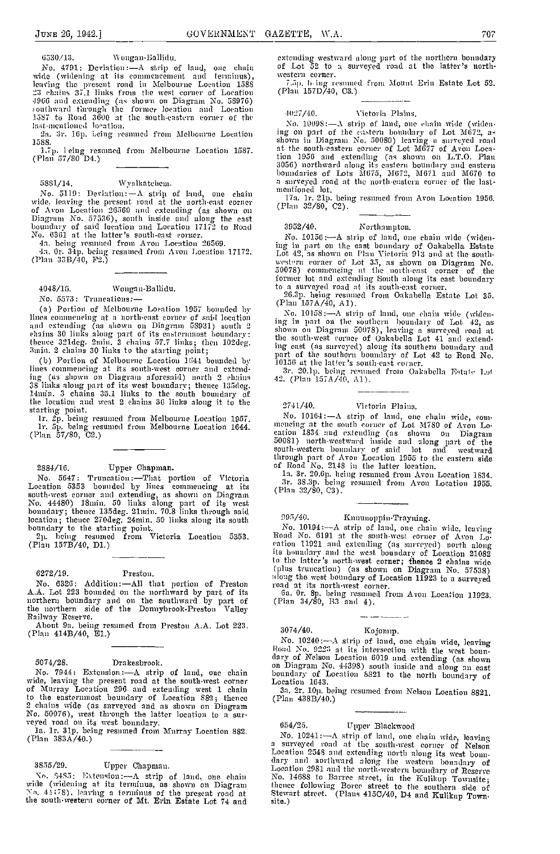6530/13. Wongan-Ballidu.

No. 4791: Deviation -A strip of land, one chain wide (widening at its commencement and terminus) leaving the present road in Melbourne Location 1585 23 chains 37.1 links from the west corner of Location 4966 and extending (as shown on Diagram No. 58976)<br>southward throngh the former location and Location 1587 to Road 3600 at the south-eastern corner of the  $\frac{40}{25}$ last mentioned location.

2a. 3r. 16p. heing resumed from Melbourne Location 1588.

l.Tp. I eing resumed from Melbourne Location 1587. (Plan 57/80 D4.)

# 5831/14. Wyalkatchem.

No. 5119: Deviation:  $-A$  strip of land, one chain  $\frac{m_{\text{B}}}{17a}$ wide, leaving the present road at the north-cast corner<br>of Avon Location 26569 and extending (as shown on<br>Diagram No. 57536), sonth inside and along the east<br>boundary of said location and Location 17172 to Road 395<br>No. 636

Inductive resumed from Avon Location 26569.<br>
Ia. being resumed from Avon Location 26569.<br>
4a. Or. 34p. being resumed from Avon Location 17172.<br>
(Plan 33B/40, F2.)

4048/15. Woagan-Ballidu.

No. 5573: Truncations: - (a)<br>(a) Portion of Melbourne Location 1957 bounded by (a) Portion of Melbourne Location 1957 bounded by  $\frac{m}{N}$ <br>lines commencing at a north-east corner of said location  $\frac{1}{N}$ and extending (as shown on Diagram 58931) south 2 <sup>1113</sup><br>chains 30 links along part of its easternmost boundary: the thence 321deg. 2min. 3 chains 57.7 links; then 102deg.<br>3min. 2 chains 30 links to the starting point;

(b) Portion of Melbourne Location 1644 bounded by lines commencing at its south-west corner and extending (as shown on Diagram aforesaid) north 2 chains  $42.7$ <br>38 links along part of its west boundary; thence 135deg.<br>14mn. 3 chains 35.1 links to the south boundary of<br>the location and west 2 chains 36 links along it to the starting point.<br>1r. 2p. being resumed from Melbourne Location 1957.

lr. øp. being resumed from Melbourne Location 1644. (Plan 57/80, 02.)

# 2884/16. Upper Chapman.

No. 5647: Truncation :- That portion of Victoria is<br>
Location 5353 bounded by lines commencing at its [Pl. south-west corner and extending, as shown on Diagram (FER 32/80)<br>No. 44480) 18min, 50 links along part of its west<br>boundary; thence 135deg. 21min. 70.8 links through said location; thence 270deg. 24min. 50 links along its south  $\begin{bmatrix} 99. \\ 09. \end{bmatrix}$ 

2p. being resumed from Victoria Location 5353. (Plan 157B/40, Dl.)

# 6272/19. Preston.

No. 6326: Addition :--All that portion of Preston and a<br>A.A. Lot 223 bounded on the northward by part of its 6a. (northern boundary and on the southward by part of (Plan

Railway Reserve.<br>
About 9a. being resumed from Preston A.A. Lot 223. (Plan 414B/40, El.)<br>
No. 10240: A strip of land, one chain wide, leaving<br>
No. 10240: A strip of land, one chain wide, leaving

# 5074/28. Drakesbrook.

No. 7944: Extension -A strip of land, one chain wide, leaving the present road at the south-west corner of Murray Location 296 and extending west 1 chain to the easternmost boundary of Location 882; thence 2 chains wide (as surveyed and as shown on Diagram No. 50076), west through the latter location to a sur-<br>veyed road on its west boundary.<br>Ia. Ir. 3lp. being resumed from Murray Location 882.<br>(Plan 383A/40.)

3855/29. Upper Chapman.

Xo. 3-185: Extension -A strip of land, one chaiu wide (widening at its terminus, as shown on Diagram  $\sqrt{6}$ ,  $44.78$ ), leaving a terminus of the present road at the south-western corner of Mt. Erin Estate Lot  $74$  and site.)

extending westward along port of the northern boundary of Lot 52 to a saiveyed ioad at the latter's northwestern corner.

 $\frac{1}{7.5}$ p, h ing resumed from Mount Erin Estate Lot 52. (Plan 157D/40, C3.)

# -1027/40. Victoria Plains.

No. 10098 :- A strip of land, one chain wide (widening on part of the eastern boundary of Lot M672, as<br>shown in Diagram No. 50080) leaving a surveyed road at the south-eastern corner of Lot M677 of Avon Location 1956 and extending (as shown on L.T.O. Plan 3056) northward along its eastern boundary and eastern boundaries of Lots M675, M672, M671 and 14670 to a surveyed road at the northeastern corner of the last- mentioned lot.

ha. lr. 21p. being resumed from Avon Location 1956. (Plan 32/80, 02).

# 3952/40. Northampton.

No. 10156:-A strip of land, one chain wide (widening in part on the east boundary of Oakabella Estate Lot 42, as shown on Plan Victoria 913 and at the southwestern corner of Lot 35, as shown on Diagram No.<br>50078) commencing at the north east corner of the former lot and extending South along its east boundary

to a surveyed road at its south-east corner.<br>26.3p. being resumed from Oakabella Estate Lot 35.<br>(Plan 157A/40, A1).

No. 10158:—A strip of land, one chain wide (widen-<br>ing in part on the southern boundary of Lot 42, as<br>shown on Diagram 50078), leaving a surveyed road at the south-west corner of Oakabella Lot 41 and extend-<br>ing east (as surveyed) along its southern boundary and<br>part of the southern boundary of Lot 42 to Road No.<br>10156 at the latter's south-east corner.

3r. 20.1p. being resumed from Oakabella Estate Lot 42. (Plan 157A/40, A1).

# 7741/40. Victoria Plains.

No. 10164:  $-A$  strip of land, one chain wide, com-<br>mencing at the sonth corner of Lot M780 of Avon Lo-<br>cation 1834 and extending (as shown on Diagram<br>50081) north-westward inside and along part of the south-western boundary of said lot and westward through part of Avon Location 1955 to the eastern side of Road No. 2143 in the latter location.

la. 3r. 2O.Gp. being resumed from Avon Location 1834.<br>3r. 38.3p. being resumed from Avon Location 1834.<br>3r. 38.3p. being resumed from Avon Location 1955.<br>(Plan 32/80, C3).

095/40. Kununoppin-Trayning.<br>No. 10194: - A strip of land, one chain wide, leaving No. 10194 :—A strip of land, one chain wide, leaving Road No. 6191 at the south-west corner of Avon Location 11921 and extending (as surveyed) north along its boundary and the west boundary of Location 21082 to the latter's north-west corner; thence 2 chains wide (plus truncation) (as shown on Diagram No. 57538) along the west boundary of Location 11923 to a surveyed road at its north-west corner.

Ga. Or. Sp. being resumed from Avon Location 11923. (Plan 34/80, 133 and 4).

# Kojomip.

No. 10240  $-$ A strip of land, one chain wide, leaving Road No. 9223 at its intersection with the west boun-<br>dary of Nelson Location 6019 and extending (as shown on Diagram No. 44398) south inside and along an east<br>boundary of Location 8821 to the north, boundary of<br>Location 1643.

3a. 2r. lop, being resumed from Nelson Location 8821. (Plan 438B/40.)

# 654/25. Upper Bhaekwood

No. 10241:—A strip of land, one chain wide, leaving<br>a surveyed road at the south-west corner of Nelson<br>Location 2548 and extending north along its west bonn-<br>dary and northward along the western bonndary of<br>Location 2981 a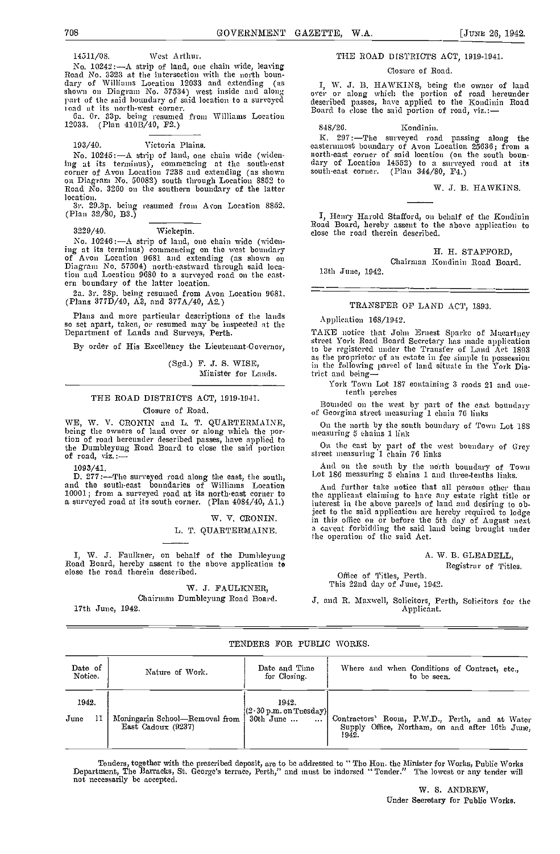14511/08. West Arthur.

No. 10242: $-A$  strip of land, one chain wide, leaving Road No. 3323 at the intersection with the north boun-<br>dary of Williams Location 12033 and extending (as dary of Williams Location 12033 and extending (as T, I, shown on Diagram No. 57534) west inside and along over<br>part of the said boundary of said location to a surveyed deser ioad at its north-west corner.

6a. Or. 33p. being resumed from Williams Location 12033. (Plan 410B/40, P2.)

# 103/40. Victoria Plains.

No. 10245: $-A$  strip of land, one chain wide (widen-<br>ing at its terminus), commencing at the south-east corner of Avon Location 7238 and extending (as shown on Diagram No. 50082) south through Location 8852 to Road No. 3260 on the southern boundary of the latter

location.<br>3r. 29.3p. being resumed from Avon Location 8852.<br>(Plan 32/80, B3.)

# 3229/40. Wiekepin.

No. 10246:-A strip of land, one chain wide (widening at its terminus) commencing on the west boundary of Avon Location 9681 and extending (as shown on Diagram No. 57504) north-eastward through said location and Location 9680 to a surveyed road on the east-<br>ern boundary of the latter location.

2a. 3r. 2Sp. being resumed from Avon Location 9681. (Plans 377D/40, A3, and 377A/40, A2.)

Plans and more particular descriptions of the lands so set apart, taken, or resumed may be inspected at the Department of Lands and Surveys, Perth.

By order of His Excellency the Lieutenant-Governor,

(Sgd.) F. J. S. WISE, Minister for Lands.

# THE ROAD DISTRICTS ACT, 1919-1911.

#### Closure of Road.

WE, W. V. CRONIN and L. T. QUARTERMAINE, being the owners of land over or along which the portion of road hereunder described passes, have applied to the Dumbleyung Road Board to close the said portion of road, viz.:-

109 3/41.

D. 277:-The surveyed road along the east, the south, Lot is and the south-east boundaries of Williams Location Am Au Au 10001; from a surveyed road at its north-east corner to the s a surveyed road at its south corner. (Plan 4084/40, Al.)

> W. V. CRONIN. L. T. QUARTEBMAINE.

I, W. 3. Faulkner, on behalf of the Dumhleyung Road Board, hereby assent to the above application to close the road therein described.

# 'W. 3. FAULKNER, Chairman Dumbleyung Road Board.

17th June, 1942.

# THE ROAD DISTRICTS ACT, 1919-1941.

# Closure of Rond.

I, W. J. B. HAWKINS, being the owner of land over or along which the portion of road hereunder described passes, have applied to the Kondinin Road Board to close the said portion of road, viz.:-

848/20. Kondinin.

K. 297: The surveyed road passing along the easternmost boundary of Avon Location 25636; from a<br>north-east corner of said location (on the south boun-<br>dary of Location 14552) to a surveyed road at its south-east corner. (Plan 344/80, F4.)

#### W. 3. B. HAWKINS.

I, Henry Harold Stafford, on behalf of the Kondinin Road Board, hereby assent to the above application to close the road therein described.

H. H. STAFFORD,

Chairman Kondinin Road Board. 13th June, 1942.

# TRANSFER OF LAND ACT, 1893.

Application 168/1942.

TAKE notice that John Ernest Sparke of Maeartney street York Road Board Secretary has made application to be registered under the Transfer of Land Act 1893 as the proprietor of an estate in fee simple in possession in the following parcel of land situate in the York District and being-

York Town Lot 187 containing 3 roods 21 and onetenth perches

Bounded on the west by part of the east boundary<br>of Georgina street measuring 1 chain 76 links

On the north by the south boundary of Town Lot 188 measuring 5 chains 1 link

On the east by part of the west boundary of Grey street measuring 1 chain 76 links

And on the south by the north boundary of Town Lot 186 measuring 5 chains 1 and three-tenths links.

And further take notice that all persons other than the applicant claiming to have any estate right title or interest in the above parcels of land and desiring to object to the said application are hereby required to lodge in this office on or before the 5th day of August next a caveat forbidding the said land being brought under the operation of the said Act.

> A. W. B. GLEADELL, Registrar of Titles.

Office of Titles, Perth. This 22nd day of June, 1042.

J. and R. Maxwell, Solicitors, Perth, Solicitors for the Applicant.

# TENDERS FOR PUBLIC WORKS.

| Date of<br>Notice. | Nature of Work.                                      | Date and Time<br>for Closing.   | Where and when Conditions of Contract, etc.,<br>to be seen.                                               |
|--------------------|------------------------------------------------------|---------------------------------|-----------------------------------------------------------------------------------------------------------|
| 1942.              |                                                      | 1942.<br>(2.30 p.m. on Tuesday) |                                                                                                           |
| June               | Moningarin School-Removal from<br>East Cadoux (9237) | 30th June<br>$\cdots$           | Contractors' Room, P.W.D., Perth, and at Water<br>Supply Office, Northam, on and after 16th June.<br>1942 |

Tenders, together with the prescribed deposit, are to be addressed to "The Hon. the Minister for Works, Public Works<br>Department, The Barracks, St. George's terrace, Perth," and must be indorsed "Tender." The lowest or any

W. S. ANDREW, Under Secretary for Public Works.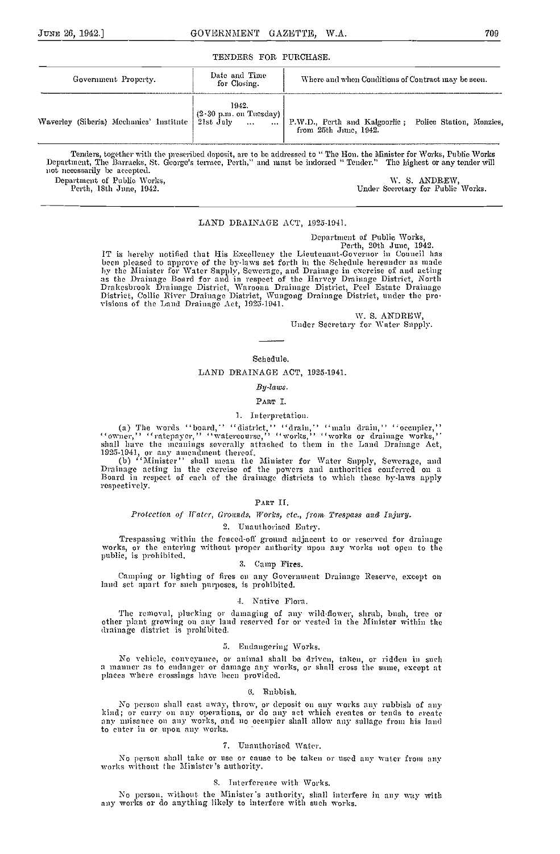#### TENDERS FOR. PURCHASE.

| Government Property. | Date and Time<br>for Closing. | Where and when Conditions of Contract may be seen.                                                                                          |
|----------------------|-------------------------------|---------------------------------------------------------------------------------------------------------------------------------------------|
|                      | 1942.                         | Waverley (Siberia) Mechanics' Institute (2.30 p.m. on Tuesday) P.W.D., Perth and Kalgoorlie; Police Station, Menzies, from 25th June, 1942. |

Tenders, together with the prescribed deposit, are to be addressed to "The Hon. the Minister for Works, Public Works<br>Department, The Barracks, St. George's terrace, Perth," and must be indorsed "Tender." The highest or any Department of Public Works, W. S. ANDREW, W. S. ANDREW, W. S. ANDREW,

Under Secretary for Public Works.

# LAND DRAINAGE ACT, 1925-1911.

Department of Public Works,<br>IT is hereby notified that His Excellency the Lieutenant-Governor in Council has<br>been pleased to approve of the by-laws set forth in the Schedule hereunder as made<br>by the Minister for Water Supp as the Drainage Board for and in respect of the Harvey Drainage District, North Drakesbrook Drainage District, Waroona Drainage District, Peel Estate Drainage District, Collie River Drainage District, Wungong Drainage Dist

> W. S. ANDREW, Under Secretary for Water Supply.

# Schedule.

# LAND DRAINAGE ACT, 1925-1941.

# By-laws.

# PART I.

# I. Interpretation.

(a) The words ''board,'' ''district, '' ''drain,'' ''main drain,'' ''occupier,''<br>''owner,'' ''ratepayer,'' ''watereourse,'' ''works,'' ''works or drainage works,'' "owner," "ratepayer," "watercourse," "works," "works or drainage works,"<br>shall have the meanings severally attached to them in the Land Drainage Act,<br>1925-1941, or any amendment thereof.<br>(b) "Minister" shall mean the Minis

respectively.

#### PART II.

# Protection of Water, Grounds, Works, etc., from Trespass and Injury.

#### 2. Unauthorised Entry.

Trespassing within the fenced-off ground adjacent to or rcserved for drainage works, or the entering without proper authority upon any works not open to the public, is prohibited.

#### 3. Camp Fires.

Camping or lighting of fires on any Government Drainage Reserve, except on<br>land set apart for such purposes, is prohibited.

#### -I. Native Flora.

The removal, plucking or damaging of any wild-flower, shrub, bush, tree or other plant growing on any land reserved for or vested in the Minister within the drainage district is prohibited.

#### 5. Endangering Works

No vehicle, conveyance, or animal shall be driven, taken, or ridden in such a manner as to endanger or damage any works, or shall cross the same, except at places where crossings have been provided.

#### Ci. Rubbish.

No person shall cast away, throw, or deposit on any works any rubbish of any kind; or carry on any operations, or do any act which creates or tends to create any unisance on any works, and no occupier shall allow any sullage from his land to enter in or upon any works.

#### 7. Unauthorised Water.

No person shall take or use or cause to be taken or used any water from any works without the Minister's authority.

# S. Tnterferenee with Works.

No person, without the Minister's authority, shall interfere in any way with any works or do anything likely to interfere with such works.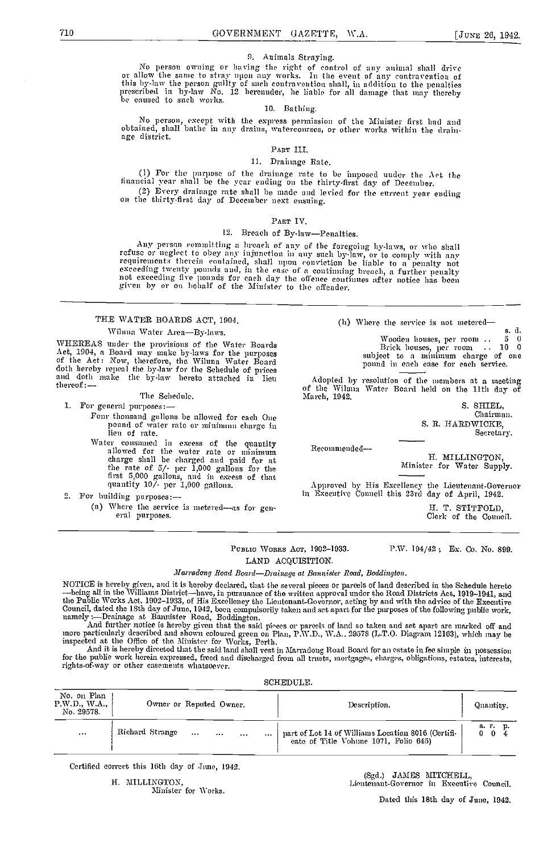#### 9. Animals Straying.

No person owning or having the right of control of any animal shall drive or allow the same to stray upon any works. In the event of any contravention of this by-law the person guilty of such contravention shall, in addition to the penalties prescribed in by-law No. 12 hereunder, be liable for all damage that may thereby be caused to such works.

# 10. Bathing.

No person, except with the express permission of the Minister first had nnd obtained, shall bathe in any drains, watereourses, or other works within the drain- age district.

# PART III.

# 11. Drainage Rate.

1) For the purpose of the drainage rate to be imposed under the Act the financial year shall be the year ending on the thirty-first day of Docember.

(2) Every drainage rate shall be made and levied for the current year ending on the thirty-first day of December next ensuing.

#### PART IV.

# 12. Breach of By-law-Penalties.

Any person committing a hreaded of any of the foregoing hy-laws, or who shall<br>refuse or neglect to obey any injunction any of the foregoing hy-laws, or who shall<br>requirements therein contained, shall upon conviction be lia

# THE WATER BOARDS ACT, 1904.

Wilnna Water Area-By-laws. WHEREAS under the provisions of the Water Boards Act, 1904, a Board may snake by-laws for the purposes of the Act: Now, therefore, the Wiluna Water Board

doth hereby repeal the by-law for the Schedule of prices<br>and doth make the by-law hereto attached in lieu thereof: — The Schedule.

1. For general purposes: --<br>Fonr thousand gallons be allowed for each One pound of water rate or minimum charge in

lieu of rate.<br>Water cousumed in excess of the quantity Water consumed in excess of the quantity allowed for the water rate or minimum charge shall he charged and paid for at the rate of 5/- per 1,000 gallons for the first 5,000 gallons, and in excess of that quantity 10/- per 1,000 gallons.

2. For building purposes:

(a) Where the service is metered—as for general purposes.

(h) Where the service is not metered

s. d. Wooden houses, per room .. <sup>5</sup> <sup>0</sup> Brick houses, per room .. <sup>10</sup> <sup>0</sup> subject to a minimum charge of one pound in each case for each service.

Adopted by resolution of the members at a meeting of the Wiluna Wnter Board held en the 11th day of March, 1942.

S. SHIEL, Chairman. S. R. HARDWICKE, Secretary.

Recommended

H. MILLINGTON, Minister for Water Supply.

Approved by His Excellency the Lieutenant-Governor in Executive Council this 23rd day of April, 1942.

H. T. STITFOLD, Clerk of the Council.

PUBLIC WORKS ACT, 1902-1933. P.W. 194/42; Ex. Co. No. 899. LAND ACQUISITION.

Marradong Road Board-Drainage at Bannister Road, Boddington.

NOTICE is hereby given, and it is hereby declared, that the several picces or parcels of land described in the Schedule hereto<br>—being all in the Williams District—have, in pursuance of the written approval under the Road D Council, dated the 18th day of June, 1942, been compulsorily taken and set apart for the purposes of the following public work,<br>namely :—Drainage at Bannister Road, Boddington.

And further notice is hereby given that the said pieces or parcels of land so taken and set apart are marked off and<br>more particularly described and shown coloured green on Plan, P.W.D., W.A., 29578 (L.T.O. Diagram 12163),

And it is hereby directed that the said land shall vest in Marradong Road Board for an estate in fee sunple in possession for the public work herein expressed, freed and discharged from all trusts, mortgages, charges, obligations, cstates, interests, rights-of-way or other casements whatsoever.

| No. on Plan<br>P.W.D., WA.,<br>Owner or Reputed Owner.<br>No. 29578. |                                  | Description.                                                                                | Quantity.                  |
|----------------------------------------------------------------------|----------------------------------|---------------------------------------------------------------------------------------------|----------------------------|
| Richard Strange<br>$\sim 100$<br>.                                   | $\cdots$<br>$\cdots$<br>$\cdots$ | part of Lot 14 of Williams Location 8016 (Certifi-<br>eate of Title Vohune 1071, Folio 645) | ar D.<br>0<br>$\mathbf{0}$ |

Certified correct this 16th (lay of June, 1942.

H. MILLINGTON, Minister for Works. (Sgd.) JMIES MITCHELL, bioutenant.Governor in Executive Council.

Dated this 18th day of June, 1942.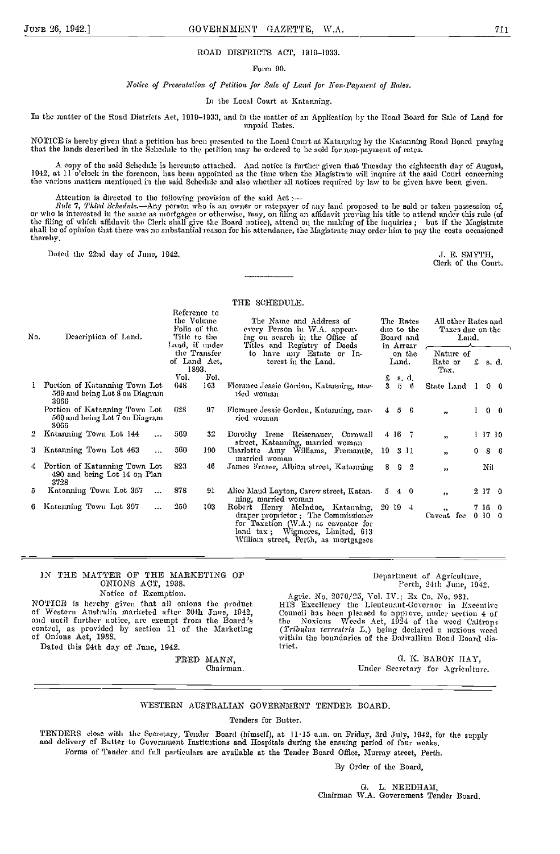# ROAD DISTRICTS ACT, 1919-1933.

Form 90.

# Notice of Presentation of Petition for Sale of Land for Non-Payment of Rates.

In the Local Court at Katanning.

In the matter of the Road Districts Act, 1910-1933, and in the matter of an Application by the Road Board for Sale of Land for unpaid Rates.

NOTICE is hereby given that a petition has been presented to the Local Court at Katarniing by the Katanning Road Board praying that the lands described in the Schedule to the petition may be ordered to be sold for non-payment of rates.

A copy of the said Schednle is hereunto attached. And notice is further given that Tuesday the eighteenth day of August, 1942, at 11 o'clock in the forenoon, has been appointed as the time when the Magistrate will inquire at the said Court concerning the various matters mentioned in the said Schedule and also whether all notices required by law to be given have been given.

Attention is directed to the following provision of the said Act :—<br>*Rule 7, Third Schedule*.—Any person who is an owner or ratepayer of any land proposed to be sold or taken possession of, or who is interested in the same as mortgagee or otherwise, may, on filing an affidavit proving his title to attend under this rule (of<br>the filing of which affidavit the Clerk shall give the Board notice), attend on the ma shall he of opinion that there was no substantial reason for his attendance, the Magistrate may order him to pay the costs occasioned thereby.

Dated the 22nd day of June, 1942. The SMITH, the SMITH, and the 22nd day of June, 1942.

Clerk of the Court.

THE SCHEDULE.

| Description of Land.                                            | Reference to<br>the Volume<br>Title to the | The Name and Address of<br>every Person in WA appear-<br>ing on search in the Office of                                                                | The Rates<br>duo to the<br>Board and                                                                                                              | All other Rates and<br>Taxes due on the<br>Land.                                            |                            |
|-----------------------------------------------------------------|--------------------------------------------|--------------------------------------------------------------------------------------------------------------------------------------------------------|---------------------------------------------------------------------------------------------------------------------------------------------------|---------------------------------------------------------------------------------------------|----------------------------|
|                                                                 | 1893.                                      | to have any Estate or In-<br>terest in the Land.                                                                                                       | on the<br>Land.                                                                                                                                   | Nature of<br>Rate or<br>Tax.                                                                | $£$ s.d.                   |
| Portion of Katanning Town Lot                                   | 648<br>163                                 | Florance Jessie Gordon, Katanning, mar-<br>ried woman                                                                                                  | £<br>s d<br>3<br>$5\quad 6$                                                                                                                       |                                                                                             | $0\quad 0$                 |
| Portion of Katanning Town Lot<br>569 and being Lot 7 on Diagram | 628<br>97                                  | Florance Jessie Gordon, Katanning, mar-<br>ried woman                                                                                                  | $4\quad 5\quad 6$                                                                                                                                 | $^{\bullet}$                                                                                | $0\quad 0$                 |
| Katanning Town Lot 144<br>$\sim 100$                            | 569<br>-32.                                | Dorothy Irene Reisenauer, Cornwall                                                                                                                     | 4 16 7                                                                                                                                            | 55                                                                                          | 1 17 10                    |
| Katanning Town Lot 463<br>$\cdots$                              | 560<br>190.                                | marned woman                                                                                                                                           |                                                                                                                                                   | 0<br>55                                                                                     | 86                         |
| Portion of Katamung Town Lot<br>490 and being Lot 14 on Plan    | 823<br>46                                  | James Fraser, Albion street, Katanning                                                                                                                 | $9\quad 2$<br>8                                                                                                                                   | $^{\prime\prime}$                                                                           | Nil                        |
| Katanning Town Lot 357<br>$\cdots$                              | 878<br>91                                  | Alice Maud Layton, Carew street, Katan-                                                                                                                | 5<br>-4<br>-0                                                                                                                                     | 55                                                                                          | 2170                       |
| Katanning Town Lot 397<br>$\ldots$                              | 250<br>103                                 | draper proprietor; The Commissioner<br>for Taxation (W.A.) as caveator for<br>land tax; Wigmores, Limited, 613<br>William street, Perth, as mortgagees | 20194                                                                                                                                             | 55 <sub>1</sub>                                                                             | 7 16 0<br>0100             |
|                                                                 | No.<br>3966<br>3966<br>3728                | Folio of the<br>Vol.<br>569 and being Lot 8 on Diagram                                                                                                 | Land, if mider<br>Titles and Registry of Deeds<br>the Transfer<br>of Land Act,<br>Fol.<br>street, Katamning, married woman<br>ning, married woman | in Arrear<br>Charlotte Amy Williams, Fremantle, 19 3 11<br>Robert Henry McIndoe, Katanning, | State Land 1<br>Caveat fee |

# IN THE MATTER OF THE MARKETING OP ONIONS ACT, 1938.

Department of Agriculture,<br>Perth, 24th June, 1942.

Notice of Exemption.

NOTICE is hereby given that all onions the product of Western Australia marketed after 30th June, 1042, and until further notice, are exempt from the Board's the control, as provided by section 11 of the Marketing (Trib of Onions Act, 1058.

Dated this 94th day of June, 1942.

FRED MANN, Chairman.

Agnie. No. 2070/25, Vol. IV.; Ex Co. No. 931. HIS Excellency the Lieutenant-Governor in Executive Council has been pleased to approve, nuder section 4 of<br>the Noxions Weeds Act, 1924 of the weed Caltrops<br>(Tribulus terrestris L.) being declared a noxions weed<br>within the boundaries of the Dalwallinn Road Board dis-<br>trict.

> G. K. BARON HAY, Under Secretory for Agriculture.

# WESTERN AUSTRALIAN GOVERNMENT TENDER BOARD.

Tenders for Butter,

TENDERS close with the Secretary, 'fender Board (himself), at 1U15 am. on Friday, 3rd July, 1942, for the supply and delivery of Butter to Government Institutions and Hospitals during the ensuing period of four weeks. Forms of Tender and full particulars are available at the Tender Board Office, Murray street, Perth.

By Order of the Board,

0. L. NEEDHAM, Chairman W.A. Government Tender Board.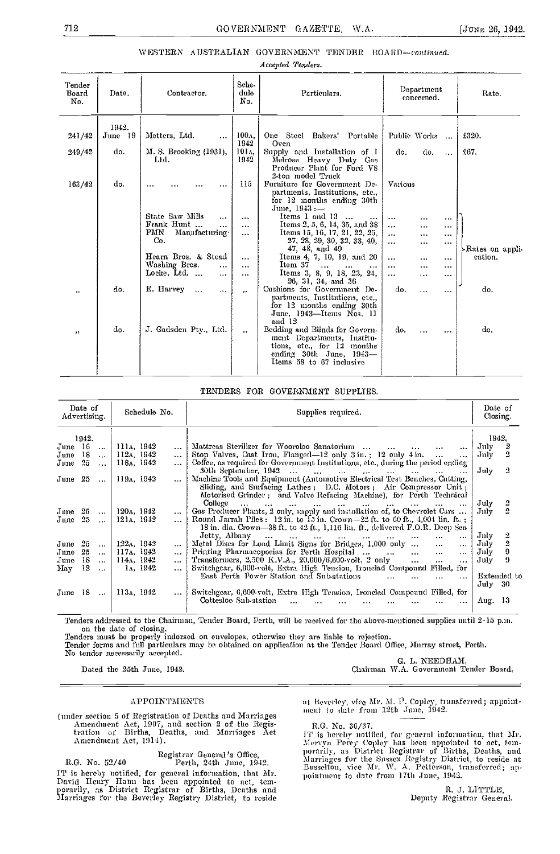# \V ESTERN AUSTRALIAN GOVERNMENT TENDER BOAR D-eontinned.

Accepted Tenders.

| Tender<br>Board<br>No. | Date.                   | Contractor.                                          | Sche-<br>dule<br>No.              | Particulars.                                                                                                                                      | Department<br>concerned.                                     | Rate.           |
|------------------------|-------------------------|------------------------------------------------------|-----------------------------------|---------------------------------------------------------------------------------------------------------------------------------------------------|--------------------------------------------------------------|-----------------|
| 241/42<br>249/42       | 1942.<br>June 19<br>do. | Metters, Ltd.<br>$\ddotsc$<br>M. S. Brooking (1931), | 100 <sub>A</sub><br>1942<br>101л. | One Steel Bakers' Portable<br>Oven<br>Supply and Installation of I                                                                                | Public Works<br>do.<br>do.<br>$\ddotsc$                      | £320.<br>£67.   |
|                        |                         | Ltd.                                                 | 1942                              | Melrose Heavy Duty Gas<br>Producer Plant for Ford V8<br>2-ton model Truck                                                                         |                                                              |                 |
| 163/42                 | do.                     | .                                                    | 115                               | Furniture for Government De-<br>partments, Institutions, etc.,<br>for 12 months ending 30th<br>$\rm{June}$ 1943 :-                                | Various                                                      |                 |
|                        |                         | State Saw Mills<br>$\cdots$                          | $\cdots$                          | Items 1 and 13<br>$\sim$<br>$\cdots$                                                                                                              | $\cdots$<br>$\cdots$<br>$\cdots$                             |                 |
|                        |                         | Frank Hunt<br>$\cdots$<br>PMN<br>Manufacturing-      | $\cdots$<br>$\cdots$              | Items 2, 5, 6, 14, 35, and 38<br>Items 15, 16, 17, 21, 22, 25,                                                                                    | $\ddotsc$<br><br>$\cdots$<br>$\cdots$<br><br>$\cdots$        |                 |
|                        |                         | Co.                                                  |                                   | 27, 28, 29, 30, 32, 33, 40,<br>47, 48, and 49                                                                                                     | $\cdots$<br>.<br>$\sim$                                      | Rates on appli- |
|                        |                         | Hearn Bros. & Stead<br>Washing Bros.                 | $\cdots$                          | Items 4, 7, 10, 19, and 20<br>Item 37                                                                                                             | $\cdots$<br>$\cdots$<br>$\sim$ $\sim$ $\sim$                 | cation.         |
|                        |                         | .<br>Locke, Ltd.<br>$\sim$<br>$\cdots$               | $\cdots$<br>$\cdots$              | $\cdots$<br>$\cdots$<br>$\cdots$<br>Items 3, 8, 9, 18, 23, 24,<br>26, 31, 34, and 36                                                              | $\cdots$<br><br>$\cdots$<br>$\cdots$<br>$\cdots$<br>$\cdots$ |                 |
| ,,                     | do.                     | E. Harvey<br>$\ddotsc$<br>$\cdots$                   | $\overline{\phantom{a}}$          | Cushions for Government De-<br>partments, Institutions, etc.,<br>for 12 months ending 30th<br>June, 1943-Items Nos. 11<br>and 12                  | do.<br><br>$\cdots$                                          | do.             |
| ,,                     | do.                     | J. Gadsden Ptv., Ltd.                                | $\overline{\phantom{a}}$          | Bedding and Blinds for Govern-<br>ment Departments, Institu-<br>tions, etc., for 12 months<br>ending 30th June, 1943-<br>Items 58 to 67 inclusive | do.<br>$\ddotsc$<br>$\cdots$                                 | do.             |

# TENDERS FOR GOVERNMENT SUPPLIES.

| Date of<br>Advertising. |               | Schedule No.            |              | Supphes required.                                                                                                                                                                                                    |                        |                         |  |  |  |
|-------------------------|---------------|-------------------------|--------------|----------------------------------------------------------------------------------------------------------------------------------------------------------------------------------------------------------------------|------------------------|-------------------------|--|--|--|
| 1942.                   |               |                         |              |                                                                                                                                                                                                                      | 1942.                  |                         |  |  |  |
| -16<br>June             | $\ddotsc$     | 111a, 1942              |              | Mattress Sterilizer for Wooroloo Sanatorium                                                                                                                                                                          | July                   |                         |  |  |  |
| -18<br>June             |               | $112A$ , 1942           | $\cdots$     | $\sim$<br>$\cdots$<br>$\cdots$<br>$\cdots$<br>Stop Valves, Cast Iron, Flanged-12 only 3 in.; 12 only 4 in.                                                                                                           | Jnly                   | $\overline{2}$          |  |  |  |
| 25                      | $\sim 100$    | 118A, 1942              | $\mathbf{r}$ | Coffee, as required for Government Institutions, etc., during the period ending                                                                                                                                      |                        |                         |  |  |  |
| June                    | $\ddotsc$     |                         |              | 30th September, 1942<br>$\ddotsc$                                                                                                                                                                                    | $\rm J$ uly            | 2                       |  |  |  |
| June $25$               | $\sim$ $\sim$ | $119A$ , $1942$         |              | Machine Tools and Equipment (Antomotive Electrical Test Benches, Cntting,<br>Sliding, and Surfacing Lathes; D.C. Motors; Air Compressor Unit;<br>Motorised Grinder; and Valve Refacing Machine), for Perth Technical |                        |                         |  |  |  |
|                         |               |                         |              | College<br>$\sim$<br>$\sim$<br>the company's company's company's company's<br>$\cdots$<br>$\cdots$<br>$\cdots$<br>$\cdots$                                                                                           | July                   |                         |  |  |  |
| -25<br>$_{\text{Junc}}$ | $\sim$ $\sim$ | $120A$ , $1942$         | $\cdots$     | Gas Producer Plants, 2 only, supply and installation of, to Chevrolet Cars                                                                                                                                           | $_{\rm Jnlv}$          | $\overline{2}$          |  |  |  |
| 25<br>June              | $\sim 10$     | 121a, 1942              | $\cdots$     | Round Jarrah Piles : 12 in. to 15 in. Crown—22 ft. to 60 ft., 4,004 lin. ft. ;<br>18 in. dia. Crown—38 ft, to $42$ ft., $1,116$ lin, ft., delivered F.O.R. Deep Sea                                                  |                        |                         |  |  |  |
|                         |               |                         |              | Jetty, Albany<br>$\sim 10^{-1}$<br><b>Seattle Street Seattle</b><br>$\mathbf{r}$<br>$\sim 100$<br>$\cdots$<br>$\sim 100$<br>$\cdots$                                                                                 | Jnly                   |                         |  |  |  |
| 25<br>June              | $\cdots$      | $122A$ , 1942           | $\cdots$     | Metal Dises for Load Limit Signs for Bridges, 1,000 only<br>$\ddotsc$<br>$\cdots$                                                                                                                                    | Jnly                   | $\overline{\mathbf{2}}$ |  |  |  |
| 25<br>$_{\rm June}$     | $\ddotsc$     | $117A$ , 1942           | $\cdots$     | Printing Pharmacopoeias for Perth Hospital<br>$\cdots$<br>$\cdots$<br>$\cdots$                                                                                                                                       | Jnly                   | 9                       |  |  |  |
| -18<br>June             | $\cdots$      | 114 <sub>A</sub> , 1942 | $\cdots$     | Transformers, 2,500 K.V.A., 20,000/6,600 volt, 2 only<br>$\cdots$<br>$\cdots$<br>$\cdots$                                                                                                                            | July                   | 9                       |  |  |  |
| -12<br>May              | $\ddotsc$     | 1., 1942                | $\cdots$     | Switchgear, 6,000-volt, Extra High Tension, Ironelad Contpound Filled, for                                                                                                                                           |                        |                         |  |  |  |
|                         |               |                         |              | East Perth Power Station and Sub-stations<br>$\cdots$<br>$\mathbf{r}$<br>$\cdots$<br>$\cdots$                                                                                                                        | Extended to<br>July 30 |                         |  |  |  |
|                         |               |                         |              |                                                                                                                                                                                                                      |                        |                         |  |  |  |
| June 18                 | $\sim 10$     | $113.$ , $1942$         |              | Switchgear, 6,600-volt, Extra High Tension, Ironelad Compound Filled, for<br>Cottesloe Sub-station<br>$\ddotsc$                                                                                                      | Aug. $13$              |                         |  |  |  |
|                         |               |                         |              |                                                                                                                                                                                                                      |                        |                         |  |  |  |

Tenders addressed to the Chairman, Tender Board, Perth, will be received for the above-mentioned supplies mutil 2-15 p.m.<br>on the date of closing.<br>Tenders must be properly indorsed on envelopes, otherwise they are liable to

No tender necessarily accepted. The contract of the contract of the G. L. NEEDHAM, C. L. NEEDHAM,<br>
Dated the 25th June, 1942. Chairman W.A. Government Tender Board.

#### APPOINTMENTS

(under section 5 of Registration of Deaths and Marriages  $\hbox{A}$  Amendment Act, 1907, and section 2 of the Registration of Births, Deaths, and Marriages Act Amendment Act, 1914).

Registrar General's Office,<br>R.G. No. 52/40 Perth, 24th June, 1942. IT is hereby notified, for general information, that Mr. David Henry Hann has been appointed to act, tem-<br>porarily, as District Registrar of Births, Deaths and Marriages for the Beverley Registry District, to reside at Beverley, vice Mr. M. P. Copley, transferred; appointment to date from 12th June, 1942.

R.G. No. 36/37.<br>IT is hereby notified, for general information, that Mr. From Percy Copley has been appointed to act, tem-<br>porarily, as District Registrar of Births, Deaths, and<br>Marriages for the Sussex Registry District, to reside at<br>Busselton, vice Mr. W. A. Petterson, transferred; appointment to date from 17th June, 1942.

> H. J. LITTLE, Deputy Registrar General.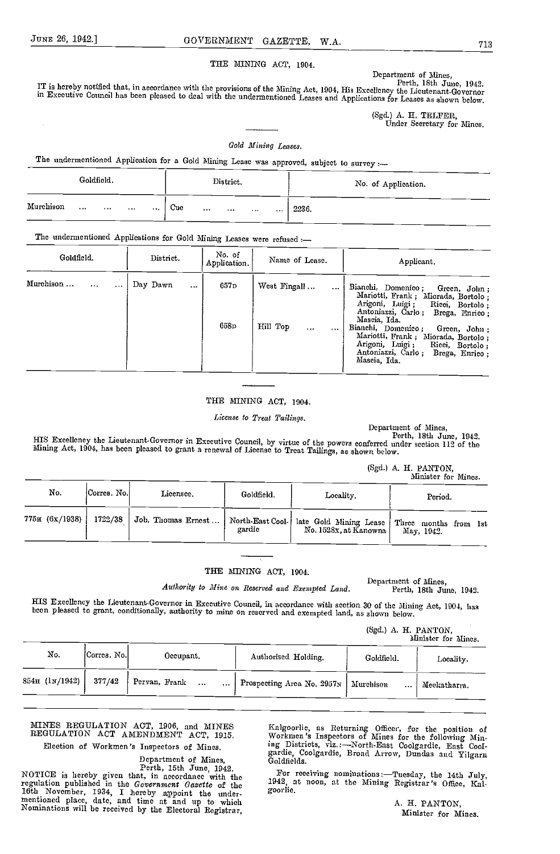THE MINING ACT, 1904.

Department of Mines,<br>Perth, 18th June, 1942.

IT is hereby notified that, in accordance with the provisions of the Mining Act, 1904, His Excellency the Lieutenant-Governor<br>in Executive Council has been pleased to deal with the undermentioned Leases and Applications fo

(Sgd.) A. H. TELFER, Under Secretary for Mines.

# Gold Mining Leases.

The undermentioned Application for a Gold Mining Lease was approved, subject to survey :-

|           |                          | Goldfield.      |          |          |     |                         | District.               |          |          |       | No. of Application. |
|-----------|--------------------------|-----------------|----------|----------|-----|-------------------------|-------------------------|----------|----------|-------|---------------------|
| Murchison | <b>Contract Contract</b> | <b>Contract</b> | $\cdots$ | $\cdots$ | Cue | $\sim 100$ km s $^{-1}$ | the company of the com- | $\cdots$ | $\cdots$ | 2236. |                     |

The undermentioned Applications for Gold Mining Leases were refused :-

| Goldfield.            |          | District.            | No. of<br>Application.   | Name of Lease.                                               | Applicant.                                                                                                                                                                                                                                                                                                                                       |
|-----------------------|----------|----------------------|--------------------------|--------------------------------------------------------------|--------------------------------------------------------------------------------------------------------------------------------------------------------------------------------------------------------------------------------------------------------------------------------------------------------------------------------------------------|
| Murchison<br>$\cdots$ | $\cdots$ | Day Dawn<br>$\cdots$ | 657 <sub>D</sub><br>658p | West Fingall<br>$\cdots$<br>Hill Top<br>$\cdots$<br>$\cdots$ | Bianchi, Domenico;<br>Green, John;<br>Mariotti, Frank; Miorada, Bortolo;<br>Arigoni, Luigi;<br>Ricci, Bortolo;<br>Antoniazzi, Carlo;<br>Brega, Enrico:<br>Mascia, Ida.<br>Bianchi, Domenico;<br>Green, John:<br>Mariotti, Frank; Miorada, Bortolo;<br>Arigoni, Luigi;<br>Ricci, Bortolo,<br>Antoniazzi, Carlo:<br>Brega, Enrico;<br>Mascia, Ida. |

# THE MINING ACT, 1904.

License to Treat Tailings.

Department of Mines,<br>Perth, 18th June, 1942.

HIS Excellency the Lieutenant-Governor in Exceutive Council, by virtue of the powers conferred under section 112 of the Mining Act, 1904, has been pleased to grant a renewal of Lieense to Treat Tailings, as shown below.

(Sgd.) A. H. PANTON, Minister for Mines.

| No.            | Corres No.l | Licensce.          | Goldfield. | Locality.                                                            | Period.                               |
|----------------|-------------|--------------------|------------|----------------------------------------------------------------------|---------------------------------------|
| 775н (6х/1938) | 1722/38     | Job, Thomas Ernest | gardie     | North-East Cool-   late Gold Mining Lease  <br>No. 1528x, at Kanowna | f Three months from 1st<br>May, 1942. |

# THE MINING ACT, 1904.

Department of Mines,<br>Authority to Mine on Reserved and Exempted Land. Perth, 18th June, 1942.

HIS Excellency the Lieutenant-Governor in Executive Council, in accordance with section 30 of the Mining Act, 1004, has been pleased to grant, conditionally, authority to mine on reserved and exempted land, as shown below.

(Sgd.) A. H. PANTON,

|                    |               |               |           |          |                                        |            |          | Minister for Mines. |
|--------------------|---------------|---------------|-----------|----------|----------------------------------------|------------|----------|---------------------|
| No.                | iCorres. No.l |               | Occupant. |          | Authorised Holding.                    | Goldfield. |          | Locality.           |
| $854\pi$ (1N/1942) | 377/42        | Pervan, Frank |           | $\cdots$ | Prospecting Area No. 2957N   Murchison |            | $\cdots$ | Meekatharra.        |
|                    |               |               |           |          |                                        |            |          |                     |

# MINES REGULATION ACT, 1906, and MINES REGULATION ACT AMENDMENT ACT, 1915.

Election of Workmen's Inspectors of Mines.

Department of Mines, and Coledial Cooledials.<br>
Perth, 15th June, 1942.<br>
Perth, 15th June, 1942.<br>
Perth, 15th June, 1942.<br>
Perth, 15th June, 1942.<br>
Perth, 15th June, 1942.<br>
Perth, 15th June, 1942.<br>
2014: At noon, at the Min regulation published in the Government Gazette of the 16th November, 1934, I hereby appoint the under-<br>mentioned place, date, and time at and up to which Nominations will be received by the Electoral Registrar,

Kalgoorlic, ns Returning Officer, for the position of Workmen 's Inspectors of Mines for the following Mining Districts, viz. :-North-East Coolgardie, East Coolgardie, Coolgardie, Broad Arrow, Dundas and Yilgarn Goldfields.

1942, at noon, at the Mining Registrar's Office, Kal-

A. H. PANTON, Minister for Mines.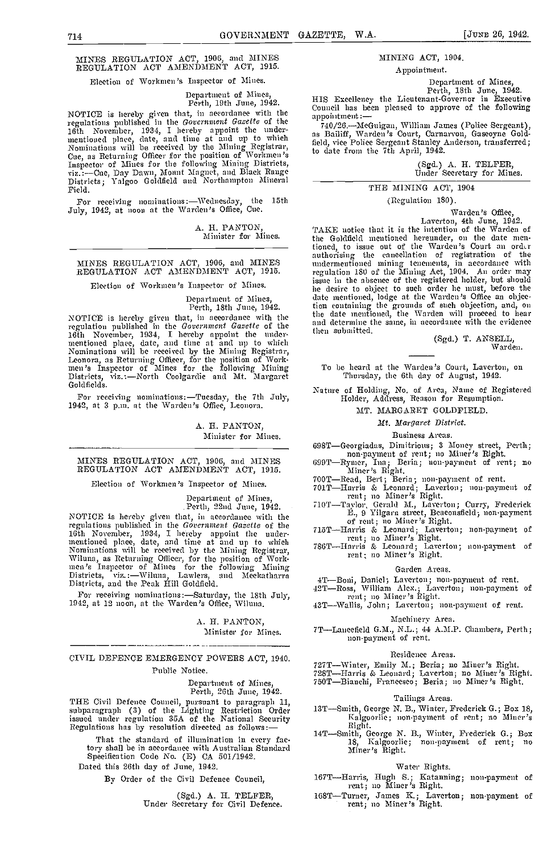# MINES REGULATION ACT, 1905, and NINES REGULATION ACT AMENDMENT ACT, 1915.

# Election of Workmen 's Inspector of Mines.

# Department of Mines, Perth, 19th June, 1942.

regulations published in the Government Gazette of the  $\frac{np\alpha}{74}$ 16th November, 1934, I hereby appoint the under-<br>mentioned place, date, and time at and up to which as Bai<br>Nominations will be received by the Mining Registrar, field, v<br>Cue, as Returning Officer for the position of Workme Inspector of Mines for the following Mining Districts,<br>viz.:—Cue, Day Dawn, Mount Magnet, and Black Range<br>Districts; Yalgoo Goldfield and Northampton Mineral —— Field.

For receiving nominations: Wednesday, the 15th July, 1942, at noon at the Warden's Office, Cue.

A. H. PANTON Minister for Mines.

# MINES REGULATION ACT, 1906, and MINES REGULATION ACT AMENDMENT ACT, 1915.

Election of Workmen's Inspector of Mines.

# Department of Mines, Perth, 18th June, 1942.

NOTICE is hereby given that, in accordance with the the date mentioned, the Warden will proceed to hear<br>second-tine with the clare construction of the and determine the same, in accordance with the evidence regulation published in the Government Gazette of the and<br>16th November, 1934, I hereby appoint the undermentioned place, date, and time at and up to which<br>Nominations will be received by the Mining Registrar,<br>Leonora, as Returning Officer, for the position of Work-<br>men's Inspector of Mines for the following Mining<br>Districts,

For receiving nominations :- Tuesday, the 7th July, 1942, at 3 p.m. at the Warden's Office, Leonora.

A. H. PANTON, Minister for Mines.

MINES REGULATION ACT, 1906, and MINES REGULATION ACT AMENDMENT ACT, 1915.

Election of Workmen's Inspector of Mines.

Department of Mines, Perth, 22nd June, 1942.

NOTICE is hereby given that, in accordance with the regulations published in the Government Gazette of the 16th November, 1934, I hereby appoint the undermentioned place, date, and time at and up to which<br>Nominations will be received by the Mining Registrar,<br>Wiluna, as Returning Officer, for the position of Work-<br>men's Inspector of Mines for the following Mining<br>Districts, Districts, and the Peak Hill Goldficld.

For receiving nominations: Saturday, the 18th July, 1942, at 12 noon, at the Warden's Office, Wiluna.

A. H. PANTON, Minister for Mines.

# CIVIL DEFENCE EMERGENCY POWERS ACT, 1940. Public Notice.

Department of Mines, Perth, 26th June, 1942.

THE Civil Defence Council, pursuant to paragraph 11, subparagraph (3) of the Lighting Restriction Order issued under regulation 35A of the National Security<br>Regulations has by resolution directed as follows:-

That the standard of illumination in every factory shall be in accordance with Australian Standard Specification Code No. (E) CA 501/1942.

Dated this 26th day of June, 1942.

By Order of the Civil Defence Council,

(Sgd.) A. H. TELFER, Under Secretary for Civil Defence.

# MINING ACT, 1904.

Appointment.

Department of Mines, Perth, 18th June, 1942.

Ferth, 19th Julie, 1942.<br>NOTICE is hereby given that, in accordance with the annoinment:— HIS Excellency the Lieutenant-Governor in Executive Council has been pleased to approve of the following appointment:-

740/26.McGuigan, William James (Police Sergeant), as Bailiff, Warden 's Court, Carnarvon, Gaseoyne Goldfield, vice Police Sergeant Stanley Anderson, transferred; to date from the 7th April, 1942.

(Sgd.) A. H. TELFER, Under Secretary for Mines.

# THE MINING ACT, 1904

(Regulation 180).

Warden's Office,<br>Laverton, 4th June, 1942.<br>TAKE notice that it is the intention of the Warden of the Goldfield mentioned hereunder, on the date mentioned, to issue out of the Warden's Court an order authorising the cancellation of registration of the undermentioned mining tenements, in accordance with regulation 180 of the Mining Act, 1904. An order may issue in the absence of the registered holder, but should lie desire to object to such order lie must, before the date mentioned, lodge at the Warden's Office an objec-tion containing the grounds of such objection, and, on the date mentioned, the Warden will proceed to hear and determine the same, in accordance with the evidence then submitted.

(Sgd.) T. ANSELL, Warden.

To be heard at the Warden's Court, Laverton, on Thursday, the 6th day of August, 1942.

Nature of Holding, No. of Area, Name of Registered Holder, Address, Reason for Resumption.

# MT. MARGARET GOLDPIELD

# Mt. Margaret District.

#### Business Areas.

- 698T Georgiadas, Dimitrious; 3 Money street, Perth; non-payment of rent; no Miner's Right.<br>699T Rymer, Ina; Beria; non-payment of rent; no<br>Miner's Right.<br>500T Beria; non-payment of rent; no
- Miner's Right.<br>700T-Read, Bert; Beria; non-payment of rent.<br>701T-Harris & Leonard; Laverton; non-payment of
- 
- 
- rent; no Miner's Right.<br>710T—Taylor, Gerald M., Laverton; Curry, Frederick<br>
E., 9 Yilgarn street, Beaeonsfield; non-payment<br>
of rent; no Miner's Right.<br>715T—Harris & Leonard; Laverton; non-payment of
- 
- rent; no Miner's Right.<br>786T-Harris & Leonard; Laverton; non-payment of rent; no Miner's Right.

# Garden Areas.

- 
- 4T—Boni, Daniel; Laverton; non-payment of rent.<br>42T—Ross, William Alex.; Laverton; non-payment of rent; no Miner's Right.<br>43T—Wallis, John; Laverton; non-payment of rent.

#### Machinery Area.

7TLancefield G.M., N.L.; 44 A.M.P. Chambers, Perth; non-payment of rent.

#### Residence Areas.

727T-Winter, Emily M.; Beria; no Miner's Right.<br>728T-Harris & Leonard; Laverton; no Miner's Right.<br>750T-Bianchi, Francesco; Beria; no Miner's Right.

# Tailings Areas.

- 13T-Smith, George N. B., Winter, Frederick G.; Box 18, Kalgoorlie; non-payment of rent; no Miner's Right.
- Right.<br>14T—Smith, George N. B., Winter, Frederick G.; Box 18, Kalgoorlie; non-payment of rent; no Miner's Right.

#### Water Rights.

- 167T—Harris, Hugh S.; Katanning; non-payment of rent; no Miner's Right.
- 168T-Turner, James K.; Laverton; non-payment of rent; no Miner's Right.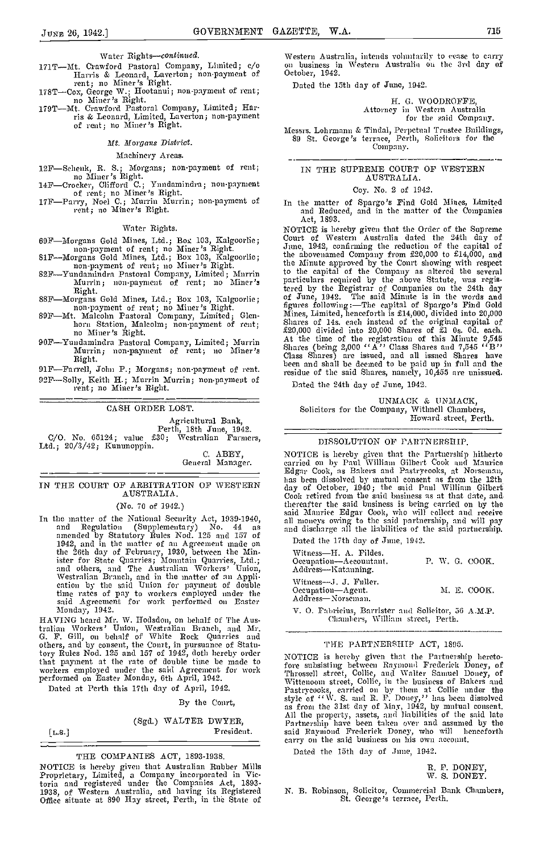- Water Rights-continued.<br>171T-Mt. Crawford Pastoral Company, Limited; c/o Herris & Leonard, Laverton; non-payment of<br>rent; no Miner's Right.<br>178T-Cox, George W.; Hootanui; non-payment of rent;<br>no Miner's Right.<br>179T---Mt. Crawford Pastoral Company, Limited; Har-
- 
- ris & Leonard, Limited, Lavertan; non-payment of rent; no Miner '5 Right.

Mt. Morgans District.

Machinery Areas.

- 12F-Sehenk, R. S.; Morgans; non-payment of rent;<br>no Miner's Right.<br>14F-Croeker, Clifford C.; Yundamindra; non-payment<br>of rent; no Miner's Right.<br>17F-Parry, Noel C.; Murrin Murrin; non-payment of
- 
- rent; no Miner's Right.

# Water Rights.

- 
- 
- 69F-Morgans Gold Mines, Ltd.; Box 103, Kalgoorlie; non-payment of rent; no Miner's Right.<br>
81F-Morgans Gold Mines, Ltd.; Box 103, Kalgoorlie; non-payment of rent; in Miner's Right.<br>
82F-Yundamindra Pastoral Company, Limite
- 
- Right. Sammon Gold Mines, Ltd.; Box 103, Kalgoorlie; non-payment of rent; no Miner's Right. Solution, Malcolm; non-payment of rent; no Miner's Right.
- 90F-Yundamindra Pastoral Company, Limited; Murrin Murrin; non-payment of rent; no Miner's Right.

91F-Farrell, John P.; Morgans; non-payment of rent. 92F-Solly, Keith H.; Murrin Murrin; non-payment of rent; no Miner's Eight.

CASH ORDER LOST.

Agricultural Bank,<br>Perth, 18th June, 1942.<br>C/O. No. 65124; value £30; Westralian Farmers,<br>Ltd.; 20/3/42; Kununoppin. C. ABEY,

General Manager.

# IN THE COURT OP ARBITRATION OF WESTERN AUSTRALIA.

(No. 70 of 1942.)

In the matter of the National Security Act, 1939-1940, and Regulation (Supplementary) No. 44 as a and d<br>amended by Statutory Rules Nod. 125 and 157 of 1942, and in the matter of an Agreement made on the 26th day of February, 1930, between the Minister for State Quarries; Mountain Quarries, Ltd.; and others, and The Australian Workers' Union, Westralian Branch, and in the matter of an Appli- The cation by the said Union for payment of double The N time rates of pay to workers employed under the said Agreement for work performed on Easter Monday, 1942.

HAVING heard Mr. W. Hodsdon, on behalf of The Aus-<br>tralian Workers' Union, Westralian Branch, and Mr.<br>G. F. Gill, on behalf of White Rock Quarries and<br>others, and by consent, the Conrt, in pursuance of Statutory Rules Nod. 125 and 157 of 1942, doth hereby order MOTI<br>that payment at the rate of double time be made to fore workers employed under the said Agreement for work frame workers employed under the said Agreement for work performed on Easter Monday, 6th April, 1942.

Dated at Perth this 17th day of April, 1942.

By the Court,

(Sgd.) WALTER DWYER,

[L.s.] President.

# THE COMPANIES ACT, 1893-1938.

NOTICE is hereby given that Australian Rubber Mills Proprietary, Limited, a Company incorporated in Victoria and registered under the Companies Act, 1893-<br>1938, of Western Australia, and having its Registered N. B.<br>Office situate at 890 Hay street, Perth, in the State of

Western Australia, intends voluntarily to evase to carry on business in Western Australia on the 3rd day of October, 1942.

Dated the 15th day of June, 1912.

H. G. WOODROFPE, Attorney in Western Australia for the said Company.

Messrs. Lohrmann & Tindal, Perpetual Trustee Buildings, 89 St. George's terrace, Perth, Solicitors for the Company.

# IN THE SUPREME COURT OP WESTERN AUSTRALIA.

#### Coy. No. 2 of 1942.

In the matter of Spargo '5 Pind Gold Mines, Limited and Reduced, and in the matter of the Companies Act. 1893. Act, 1893.

NOTICE is hereby given that the Order of the Supreme Court of Western Australia dated the 24th day ef June, 1942, confirming the reduction of the capital of the abovenamed Company from £20,000 to £14,000, and the Minute approved by the Court showing with respect to the capital of the Company as altered the several particulars required by the above Statute, was registered by the Registrar of Companies on the 24th day of June, 1942. The said Minute is in the words and<br>figures following:—The capital of Spargo's Find Gold Mines, Limited, henceforth is £14,000, divided into 20,000 Shares of 14s. each instead of the original capital of £20,000 divided into 20,000 Shares of £1 Os. Od. each. At the time of the registration of this Minute 9,545 Shares (being 2,000  $'$ ' A'' Class Shares and 7,545  $'$ ' B'' Class Shares) are issued, and all issued Shares have been and shall be deemed to be paid up in full and the residue of the said Shares, namely, 10,455 are unissued.

Dated the 24th day of June, 1942.

UNMACK & UNMACK,<br>Solicitors for the Company, Withnell Chambers,<br>Howard street, Perth.

# DISSOLUTION OF PARTNERSHIP.

NOTICE is hereby given that the Partnership hitherto<br>carried on by Paul William Gilbert Cook and Maurice<br>Edgar Cook, as Bakers and Pastrycooks, at Norseman,<br>has been dissolved by mutual consent as from the 12th<br>day of Octo has been dissolved by mutual consent as from the 12th day of October, 1940; the said Paul William Gilbert Cook retired from the said business as at that date, and thereafter the said business is being carried on by the said Maurice Edgar Cook, who will collect and receive all moneys owing to the said partnership, and will pay and discharge all the liabilities of the said partnership.

Dated the 17th day of June, 1942.

| Witness-H. A. Fildes.<br>Occupation-Accountant.<br>Address-Ratanning | P. W. G. COOK. |  |
|----------------------------------------------------------------------|----------------|--|
| Witness-J. J. Fuller.<br>Occupation-Agent.<br>Address-Norseman.      | M. E. COOK.    |  |
| <b>If</b> O Belgians Domiston and Collector 50 A H D                 |                |  |

V. O. Fabricius, Barrister and Solicitor, 56 A.M.P. ('l,aml 'ers, William street, Pertl,.

#### THE PARTNERSHIP ACT, 1895.

NOTICE is hereby given that the Partnership heretofore subsisting between Raymond Frederick Doney, of Throssell street, Collie, and Walter Samuel Doney, of Wittenoom street, Collie, in the business of Bakers and Pastrycooks, carried on by them at Collie under the style of "W. S. and R. F. Doney," has been dissolved as from the 31st day of May, 1942, by mutual consent. All tha property, assets, and liabilities of the said late Partnership have been taken over and assumed by the said Raymond Frederick Doney, who will henceforth carry on the said business on his own account.

Dated the 15th day of June, 1942.

R. F. DONEY, W. S. DONEY.

N. B. Robinson, Solicitor, Commercial Bank Chambers, St. George's terrace, Perti,.